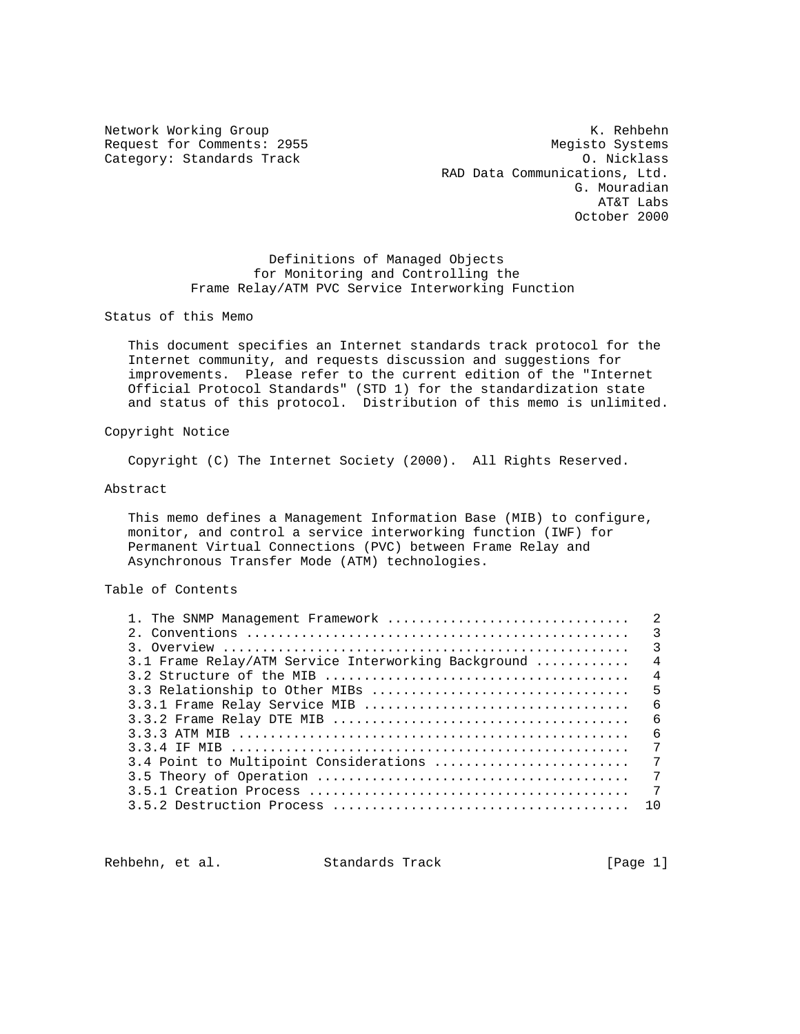Category: Standards Track

Network Working Group Network Working Group Network Rehbehn Request for Comments: 2955 Megisto Systems<br>
Category: Standards Track Megisto Systems 0. Nicklass RAD Data Communications, Ltd. G. Mouradian AT&T Labs October 2000

> Definitions of Managed Objects for Monitoring and Controlling the Frame Relay/ATM PVC Service Interworking Function

Status of this Memo

 This document specifies an Internet standards track protocol for the Internet community, and requests discussion and suggestions for improvements. Please refer to the current edition of the "Internet Official Protocol Standards" (STD 1) for the standardization state and status of this protocol. Distribution of this memo is unlimited.

### Copyright Notice

Copyright (C) The Internet Society (2000). All Rights Reserved.

### Abstract

 This memo defines a Management Information Base (MIB) to configure, monitor, and control a service interworking function (IWF) for Permanent Virtual Connections (PVC) between Frame Relay and Asynchronous Transfer Mode (ATM) technologies.

# Table of Contents

| 1. The SNMP Management Framework                    | $\mathfrak{D}$ |
|-----------------------------------------------------|----------------|
|                                                     |                |
|                                                     | $\overline{3}$ |
| 3.1 Frame Relay/ATM Service Interworking Background | $\overline{4}$ |
|                                                     | $\overline{4}$ |
| 3.3 Relationship to Other MIBs                      | 5              |
|                                                     | - 6            |
|                                                     | - 6            |
|                                                     | - 6            |
|                                                     | 7              |
| 3.4 Point to Multipoint Considerations              | 7              |
|                                                     | 7              |
|                                                     | $\overline{7}$ |
|                                                     | 10             |
|                                                     |                |

Rehbehn, et al. Standards Track [Page 1]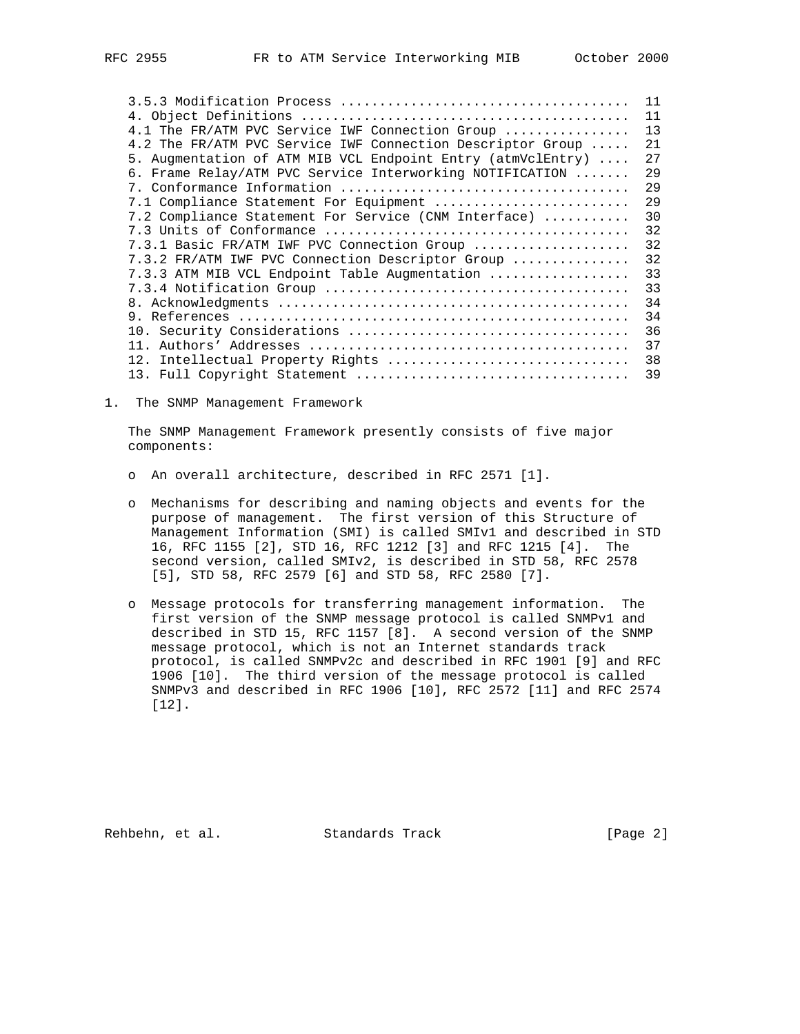|                                                             | 11  |
|-------------------------------------------------------------|-----|
|                                                             | 11  |
| 4.1 The FR/ATM PVC Service IWF Connection Group             | 13  |
| 4.2 The FR/ATM PVC Service IWF Connection Descriptor Group  | 21  |
| 5. Augmentation of ATM MIB VCL Endpoint Entry (atmVclEntry) | 27  |
| 6. Frame Relay/ATM PVC Service Interworking NOTIFICATION    | 2.9 |
|                                                             | 29  |
| 7.1 Compliance Statement For Equipment                      | 29  |
| 7.2 Compliance Statement For Service (CNM Interface)        | 30  |
|                                                             | 32  |
| 7.3.1 Basic FR/ATM IWF PVC Connection Group                 | 32  |
| 7.3.2 FR/ATM IWF PVC Connection Descriptor Group            | 32  |
| 7.3.3 ATM MIB VCL Endpoint Table Augmentation               | 33  |
|                                                             | 33  |
|                                                             | 34  |
|                                                             | 34  |
|                                                             | 36  |
|                                                             | 37  |
| 12. Intellectual Property Rights                            | 38  |
|                                                             | 39  |

1. The SNMP Management Framework

 The SNMP Management Framework presently consists of five major components:

- o An overall architecture, described in RFC 2571 [1].
- o Mechanisms for describing and naming objects and events for the purpose of management. The first version of this Structure of Management Information (SMI) is called SMIv1 and described in STD 16, RFC 1155 [2], STD 16, RFC 1212 [3] and RFC 1215 [4]. The second version, called SMIv2, is described in STD 58, RFC 2578 [5], STD 58, RFC 2579 [6] and STD 58, RFC 2580 [7].
- o Message protocols for transferring management information. The first version of the SNMP message protocol is called SNMPv1 and described in STD 15, RFC 1157 [8]. A second version of the SNMP message protocol, which is not an Internet standards track protocol, is called SNMPv2c and described in RFC 1901 [9] and RFC 1906 [10]. The third version of the message protocol is called SNMPv3 and described in RFC 1906 [10], RFC 2572 [11] and RFC 2574 [12].

Rehbehn, et al. Standards Track [Page 2]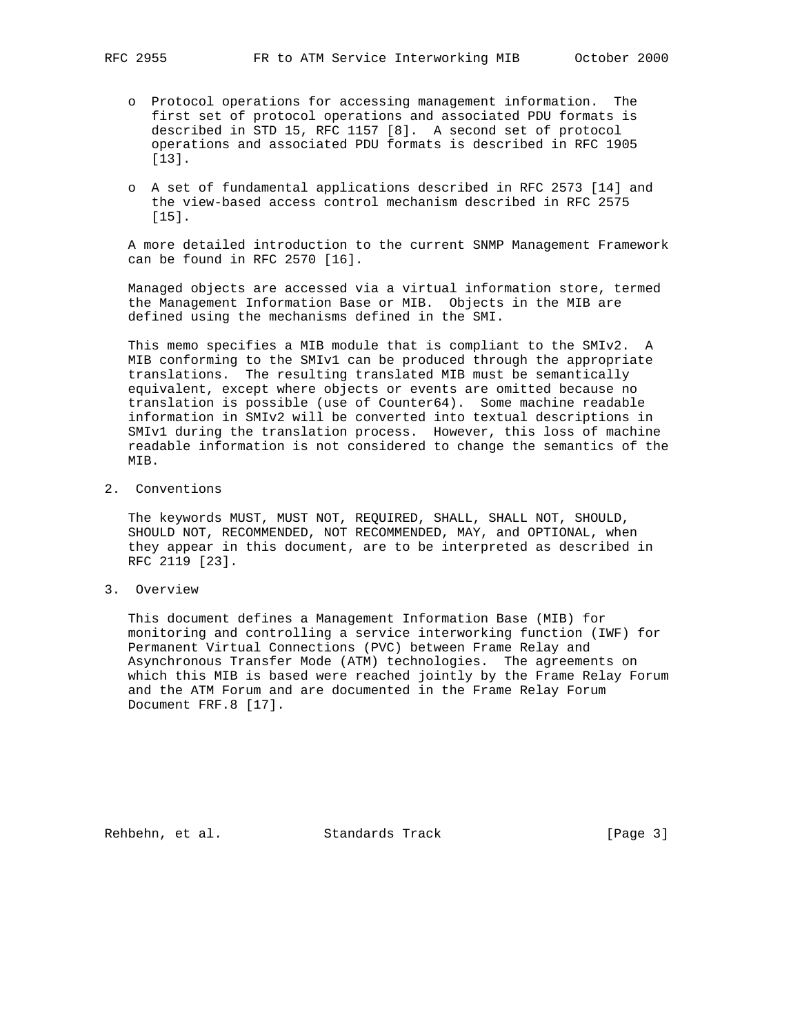- o Protocol operations for accessing management information. The first set of protocol operations and associated PDU formats is described in STD 15, RFC 1157 [8]. A second set of protocol operations and associated PDU formats is described in RFC 1905 [13].
- o A set of fundamental applications described in RFC 2573 [14] and the view-based access control mechanism described in RFC 2575 [15].

 A more detailed introduction to the current SNMP Management Framework can be found in RFC 2570 [16].

 Managed objects are accessed via a virtual information store, termed the Management Information Base or MIB. Objects in the MIB are defined using the mechanisms defined in the SMI.

 This memo specifies a MIB module that is compliant to the SMIv2. A MIB conforming to the SMIv1 can be produced through the appropriate translations. The resulting translated MIB must be semantically equivalent, except where objects or events are omitted because no translation is possible (use of Counter64). Some machine readable information in SMIv2 will be converted into textual descriptions in SMIv1 during the translation process. However, this loss of machine readable information is not considered to change the semantics of the MIB.

2. Conventions

 The keywords MUST, MUST NOT, REQUIRED, SHALL, SHALL NOT, SHOULD, SHOULD NOT, RECOMMENDED, NOT RECOMMENDED, MAY, and OPTIONAL, when they appear in this document, are to be interpreted as described in RFC 2119 [23].

3. Overview

 This document defines a Management Information Base (MIB) for monitoring and controlling a service interworking function (IWF) for Permanent Virtual Connections (PVC) between Frame Relay and Asynchronous Transfer Mode (ATM) technologies. The agreements on which this MIB is based were reached jointly by the Frame Relay Forum and the ATM Forum and are documented in the Frame Relay Forum Document FRF.8 [17].

Rehbehn, et al. Standards Track [Page 3]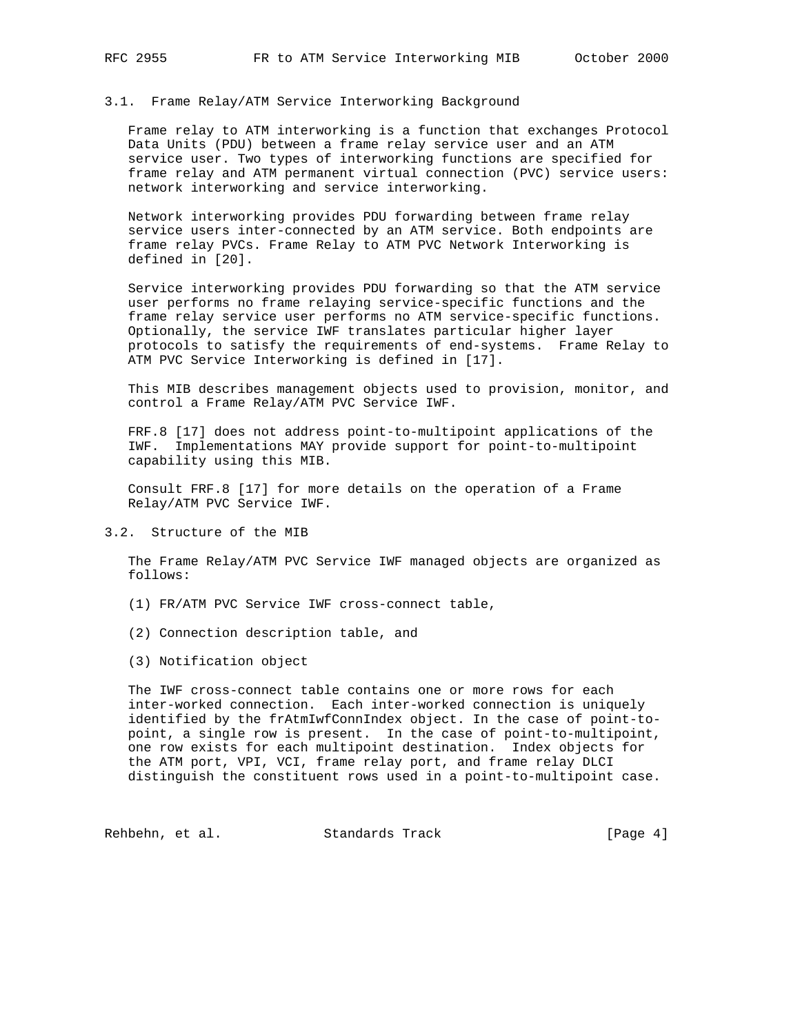### 3.1. Frame Relay/ATM Service Interworking Background

 Frame relay to ATM interworking is a function that exchanges Protocol Data Units (PDU) between a frame relay service user and an ATM service user. Two types of interworking functions are specified for frame relay and ATM permanent virtual connection (PVC) service users: network interworking and service interworking.

 Network interworking provides PDU forwarding between frame relay service users inter-connected by an ATM service. Both endpoints are frame relay PVCs. Frame Relay to ATM PVC Network Interworking is defined in [20].

 Service interworking provides PDU forwarding so that the ATM service user performs no frame relaying service-specific functions and the frame relay service user performs no ATM service-specific functions. Optionally, the service IWF translates particular higher layer protocols to satisfy the requirements of end-systems. Frame Relay to ATM PVC Service Interworking is defined in [17].

 This MIB describes management objects used to provision, monitor, and control a Frame Relay/ATM PVC Service IWF.

 FRF.8 [17] does not address point-to-multipoint applications of the IWF. Implementations MAY provide support for point-to-multipoint capability using this MIB.

 Consult FRF.8 [17] for more details on the operation of a Frame Relay/ATM PVC Service IWF.

## 3.2. Structure of the MIB

 The Frame Relay/ATM PVC Service IWF managed objects are organized as follows:

- (1) FR/ATM PVC Service IWF cross-connect table,
- (2) Connection description table, and
- (3) Notification object

 The IWF cross-connect table contains one or more rows for each inter-worked connection. Each inter-worked connection is uniquely identified by the frAtmIwfConnIndex object. In the case of point-to point, a single row is present. In the case of point-to-multipoint, one row exists for each multipoint destination. Index objects for the ATM port, VPI, VCI, frame relay port, and frame relay DLCI distinguish the constituent rows used in a point-to-multipoint case.

Rehbehn, et al. Standards Track [Page 4]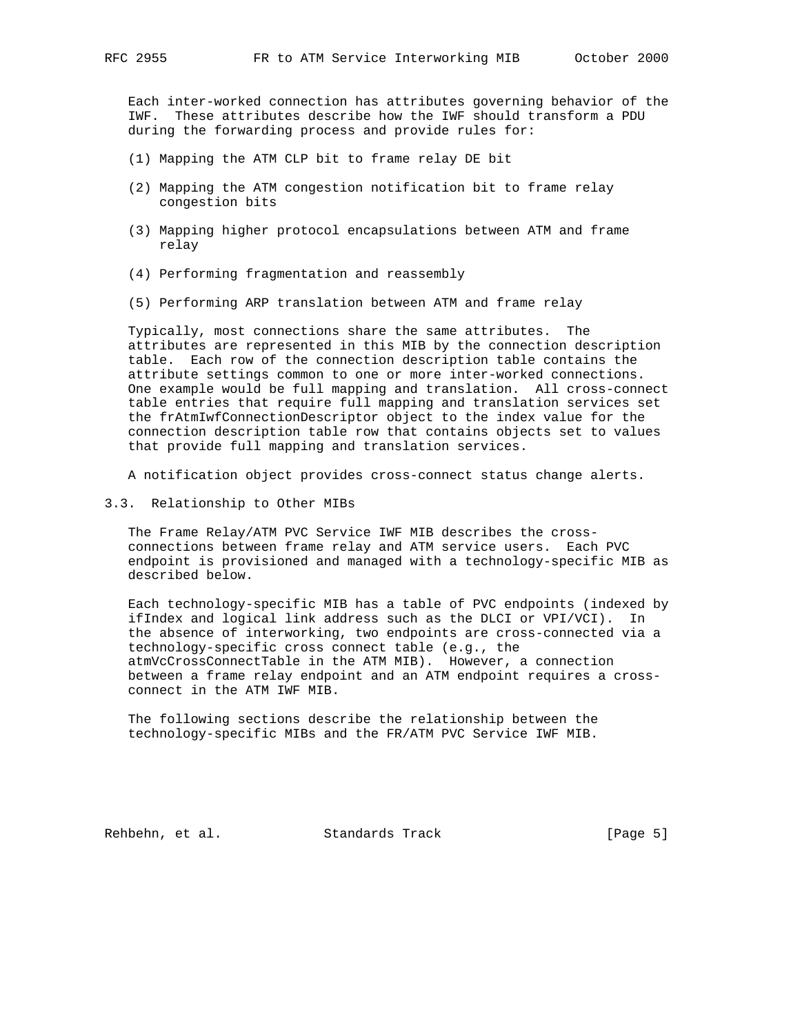Each inter-worked connection has attributes governing behavior of the IWF. These attributes describe how the IWF should transform a PDU during the forwarding process and provide rules for:

- (1) Mapping the ATM CLP bit to frame relay DE bit
- (2) Mapping the ATM congestion notification bit to frame relay congestion bits
- (3) Mapping higher protocol encapsulations between ATM and frame relay
- (4) Performing fragmentation and reassembly
- (5) Performing ARP translation between ATM and frame relay

 Typically, most connections share the same attributes. The attributes are represented in this MIB by the connection description table. Each row of the connection description table contains the attribute settings common to one or more inter-worked connections. One example would be full mapping and translation. All cross-connect table entries that require full mapping and translation services set the frAtmIwfConnectionDescriptor object to the index value for the connection description table row that contains objects set to values that provide full mapping and translation services.

A notification object provides cross-connect status change alerts.

3.3. Relationship to Other MIBs

 The Frame Relay/ATM PVC Service IWF MIB describes the cross connections between frame relay and ATM service users. Each PVC endpoint is provisioned and managed with a technology-specific MIB as described below.

 Each technology-specific MIB has a table of PVC endpoints (indexed by ifIndex and logical link address such as the DLCI or VPI/VCI). In the absence of interworking, two endpoints are cross-connected via a technology-specific cross connect table (e.g., the atmVcCrossConnectTable in the ATM MIB). However, a connection between a frame relay endpoint and an ATM endpoint requires a cross connect in the ATM IWF MIB.

 The following sections describe the relationship between the technology-specific MIBs and the FR/ATM PVC Service IWF MIB.

Rehbehn, et al. Standards Track [Page 5]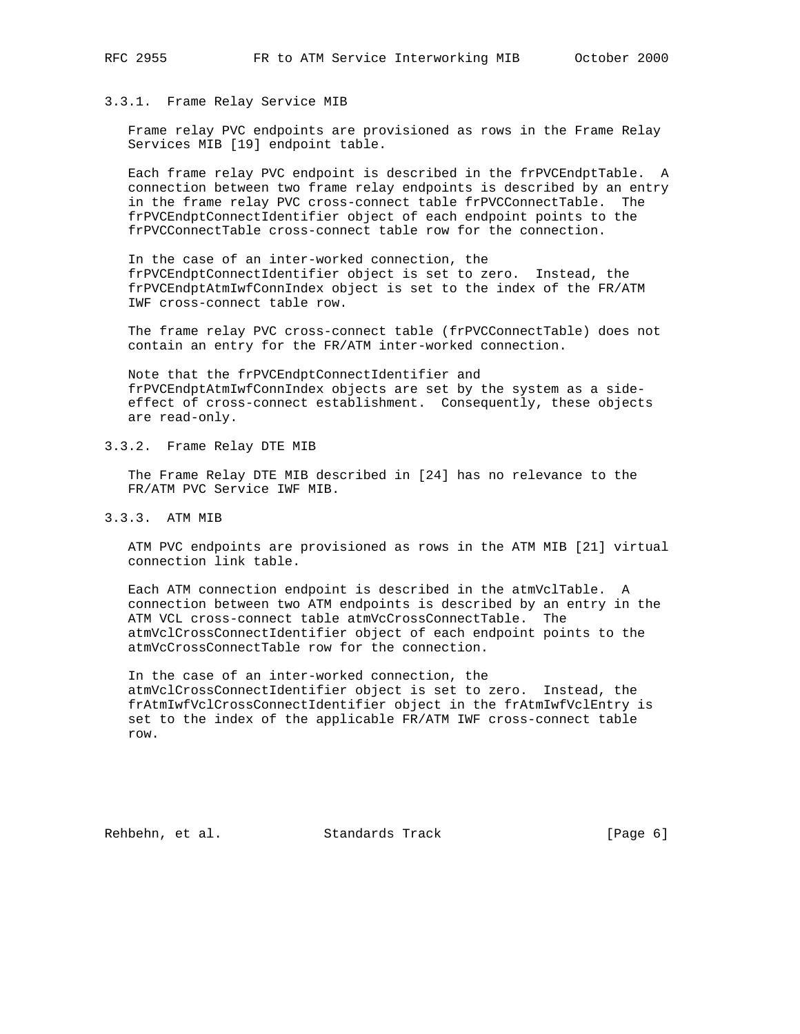### 3.3.1. Frame Relay Service MIB

 Frame relay PVC endpoints are provisioned as rows in the Frame Relay Services MIB [19] endpoint table.

 Each frame relay PVC endpoint is described in the frPVCEndptTable. A connection between two frame relay endpoints is described by an entry in the frame relay PVC cross-connect table frPVCConnectTable. The frPVCEndptConnectIdentifier object of each endpoint points to the frPVCConnectTable cross-connect table row for the connection.

 In the case of an inter-worked connection, the frPVCEndptConnectIdentifier object is set to zero. Instead, the frPVCEndptAtmIwfConnIndex object is set to the index of the FR/ATM IWF cross-connect table row.

 The frame relay PVC cross-connect table (frPVCConnectTable) does not contain an entry for the FR/ATM inter-worked connection.

 Note that the frPVCEndptConnectIdentifier and frPVCEndptAtmIwfConnIndex objects are set by the system as a side effect of cross-connect establishment. Consequently, these objects are read-only.

3.3.2. Frame Relay DTE MIB

 The Frame Relay DTE MIB described in [24] has no relevance to the FR/ATM PVC Service IWF MIB.

3.3.3. ATM MIB

 ATM PVC endpoints are provisioned as rows in the ATM MIB [21] virtual connection link table.

 Each ATM connection endpoint is described in the atmVclTable. A connection between two ATM endpoints is described by an entry in the ATM VCL cross-connect table atmVcCrossConnectTable. The atmVclCrossConnectIdentifier object of each endpoint points to the atmVcCrossConnectTable row for the connection.

 In the case of an inter-worked connection, the atmVclCrossConnectIdentifier object is set to zero. Instead, the frAtmIwfVclCrossConnectIdentifier object in the frAtmIwfVclEntry is set to the index of the applicable FR/ATM IWF cross-connect table row.

Rehbehn, et al. Standards Track [Page 6]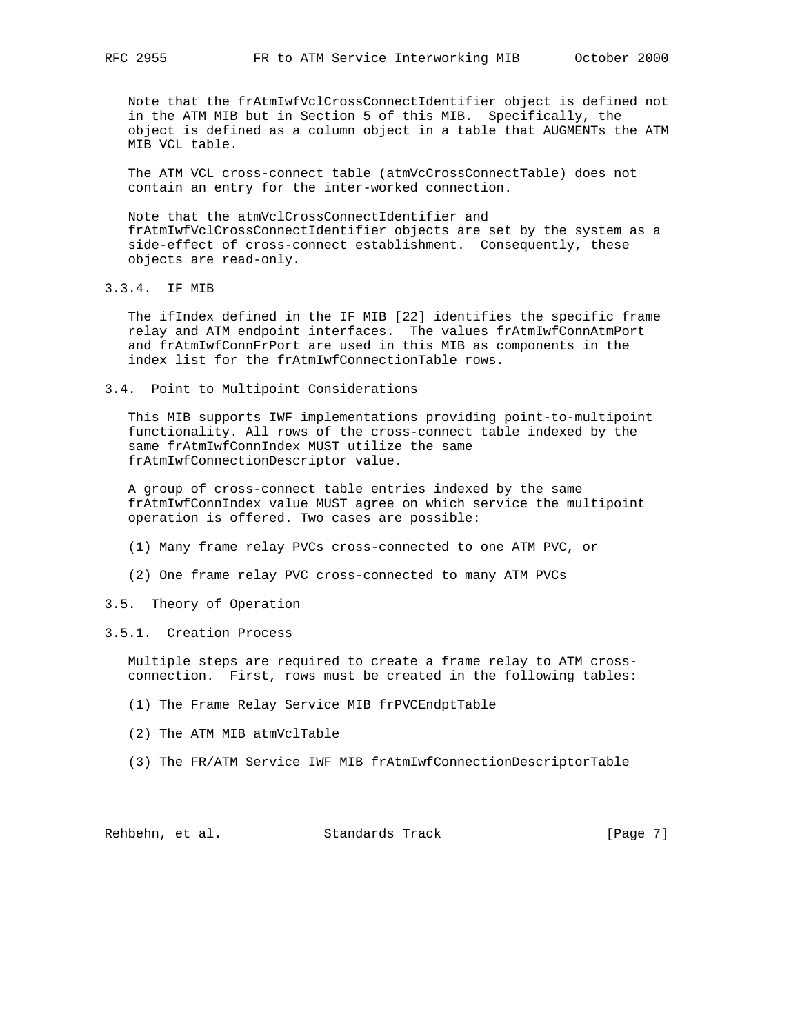Note that the frAtmIwfVclCrossConnectIdentifier object is defined not in the ATM MIB but in Section 5 of this MIB. Specifically, the object is defined as a column object in a table that AUGMENTs the ATM MIB VCL table.

 The ATM VCL cross-connect table (atmVcCrossConnectTable) does not contain an entry for the inter-worked connection.

 Note that the atmVclCrossConnectIdentifier and frAtmIwfVclCrossConnectIdentifier objects are set by the system as a side-effect of cross-connect establishment. Consequently, these objects are read-only.

3.3.4. IF MIB

 The ifIndex defined in the IF MIB [22] identifies the specific frame relay and ATM endpoint interfaces. The values frAtmIwfConnAtmPort and frAtmIwfConnFrPort are used in this MIB as components in the index list for the frAtmIwfConnectionTable rows.

3.4. Point to Multipoint Considerations

 This MIB supports IWF implementations providing point-to-multipoint functionality. All rows of the cross-connect table indexed by the same frAtmIwfConnIndex MUST utilize the same frAtmIwfConnectionDescriptor value.

 A group of cross-connect table entries indexed by the same frAtmIwfConnIndex value MUST agree on which service the multipoint operation is offered. Two cases are possible:

- (1) Many frame relay PVCs cross-connected to one ATM PVC, or
- (2) One frame relay PVC cross-connected to many ATM PVCs

# 3.5. Theory of Operation

#### 3.5.1. Creation Process

 Multiple steps are required to create a frame relay to ATM cross connection. First, rows must be created in the following tables:

- (1) The Frame Relay Service MIB frPVCEndptTable
- (2) The ATM MIB atmVclTable
- (3) The FR/ATM Service IWF MIB frAtmIwfConnectionDescriptorTable

Rehbehn, et al. Standards Track [Page 7]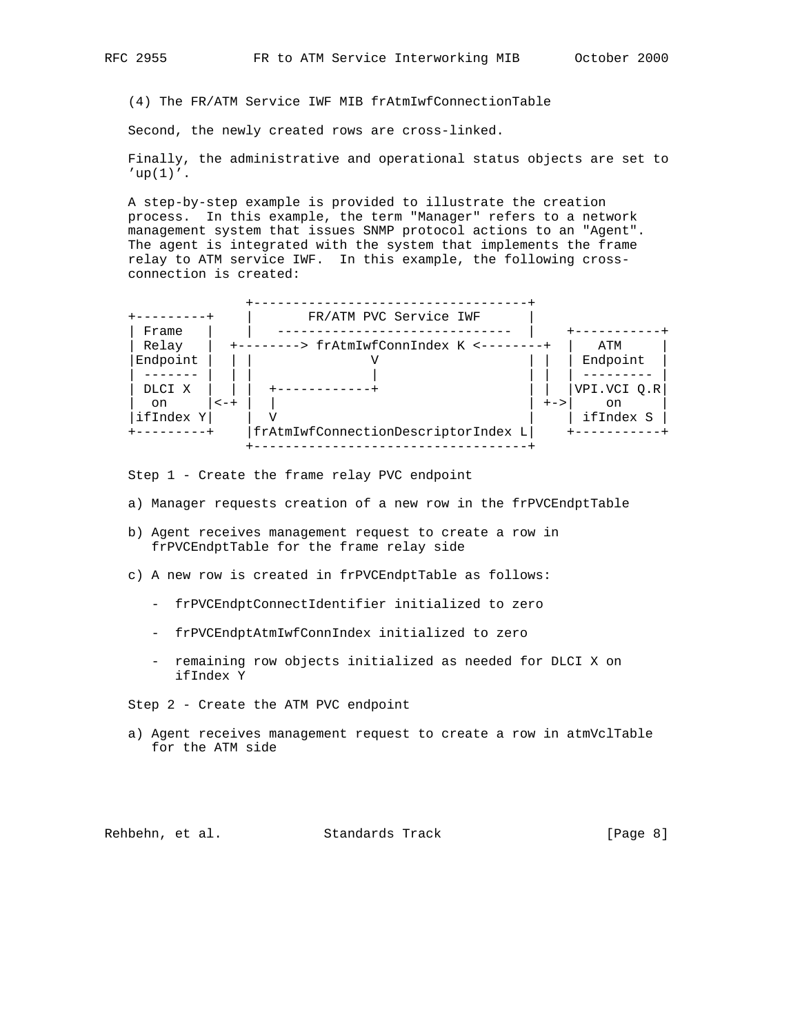(4) The FR/ATM Service IWF MIB frAtmIwfConnectionTable

Second, the newly created rows are cross-linked.

 Finally, the administrative and operational status objects are set to  $'up(1)'$ .

 A step-by-step example is provided to illustrate the creation process. In this example, the term "Manager" refers to a network management system that issues SNMP protocol actions to an "Agent". The agent is integrated with the system that implements the frame relay to ATM service IWF. In this example, the following cross connection is created:



Step 1 - Create the frame relay PVC endpoint

- a) Manager requests creation of a new row in the frPVCEndptTable
- b) Agent receives management request to create a row in frPVCEndptTable for the frame relay side
- c) A new row is created in frPVCEndptTable as follows:
	- frPVCEndptConnectIdentifier initialized to zero
	- frPVCEndptAtmIwfConnIndex initialized to zero
	- remaining row objects initialized as needed for DLCI X on ifIndex Y
- Step 2 Create the ATM PVC endpoint
- a) Agent receives management request to create a row in atmVclTable for the ATM side

Rehbehn, et al. Standards Track (Page 8)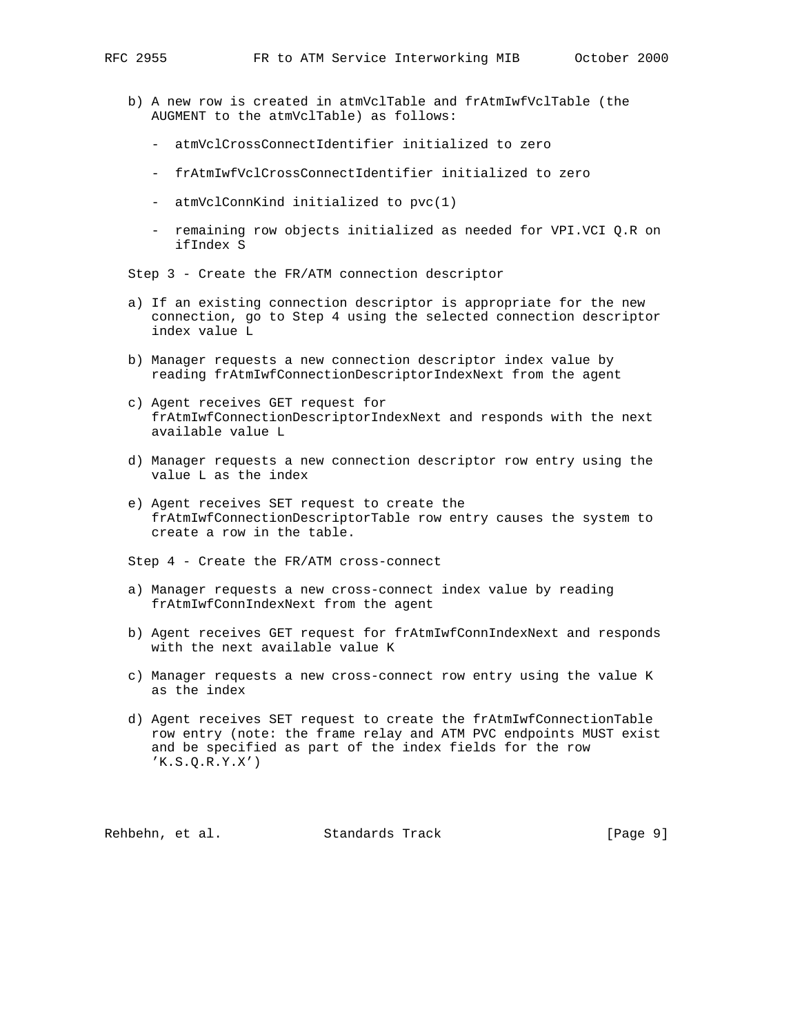- b) A new row is created in atmVclTable and frAtmIwfVclTable (the AUGMENT to the atmVclTable) as follows:
	- atmVclCrossConnectIdentifier initialized to zero
	- frAtmIwfVclCrossConnectIdentifier initialized to zero
	- atmVclConnKind initialized to pvc(1)
	- remaining row objects initialized as needed for VPI.VCI Q.R on ifIndex S

Step 3 - Create the FR/ATM connection descriptor

- a) If an existing connection descriptor is appropriate for the new connection, go to Step 4 using the selected connection descriptor index value L
- b) Manager requests a new connection descriptor index value by reading frAtmIwfConnectionDescriptorIndexNext from the agent
- c) Agent receives GET request for frAtmIwfConnectionDescriptorIndexNext and responds with the next available value L
- d) Manager requests a new connection descriptor row entry using the value L as the index
- e) Agent receives SET request to create the frAtmIwfConnectionDescriptorTable row entry causes the system to create a row in the table.

Step 4 - Create the FR/ATM cross-connect

- a) Manager requests a new cross-connect index value by reading frAtmIwfConnIndexNext from the agent
- b) Agent receives GET request for frAtmIwfConnIndexNext and responds with the next available value K
- c) Manager requests a new cross-connect row entry using the value K as the index
- d) Agent receives SET request to create the frAtmIwfConnectionTable row entry (note: the frame relay and ATM PVC endpoints MUST exist and be specified as part of the index fields for the row  $'K.S.Q.R.Y.X'$

Rehbehn, et al. Standards Track [Page 9]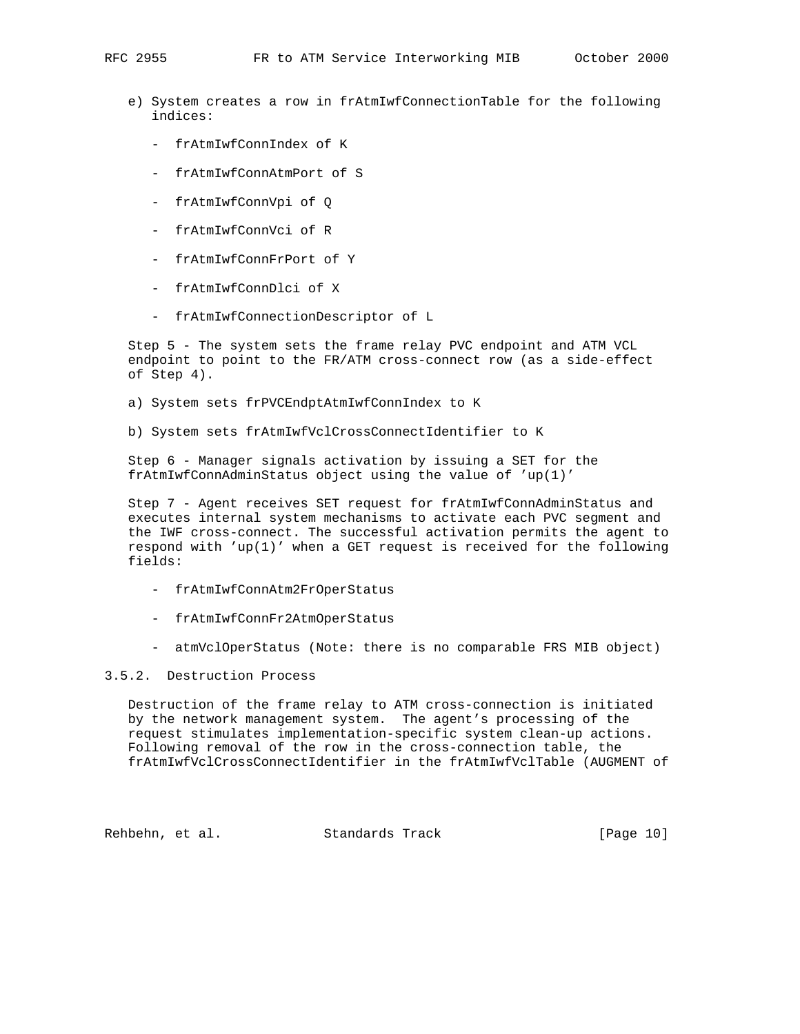- e) System creates a row in frAtmIwfConnectionTable for the following indices:
	- frAtmIwfConnIndex of K
	- frAtmIwfConnAtmPort of S
	- frAtmIwfConnVpi of Q
	- frAtmIwfConnVci of R
	- frAtmIwfConnFrPort of Y
	- frAtmIwfConnDlci of X
	- frAtmIwfConnectionDescriptor of L

 Step 5 - The system sets the frame relay PVC endpoint and ATM VCL endpoint to point to the FR/ATM cross-connect row (as a side-effect of Step 4).

- a) System sets frPVCEndptAtmIwfConnIndex to K
- b) System sets frAtmIwfVclCrossConnectIdentifier to K

 Step 6 - Manager signals activation by issuing a SET for the frAtmIwfConnAdminStatus object using the value of 'up(1)'

 Step 7 - Agent receives SET request for frAtmIwfConnAdminStatus and executes internal system mechanisms to activate each PVC segment and the IWF cross-connect. The successful activation permits the agent to respond with  $'up(1)'$  when a GET request is received for the following fields:

- frAtmIwfConnAtm2FrOperStatus
- frAtmIwfConnFr2AtmOperStatus
- atmVclOperStatus (Note: there is no comparable FRS MIB object)

## 3.5.2. Destruction Process

 Destruction of the frame relay to ATM cross-connection is initiated by the network management system. The agent's processing of the request stimulates implementation-specific system clean-up actions. Following removal of the row in the cross-connection table, the frAtmIwfVclCrossConnectIdentifier in the frAtmIwfVclTable (AUGMENT of

Rehbehn, et al. Standards Track [Page 10]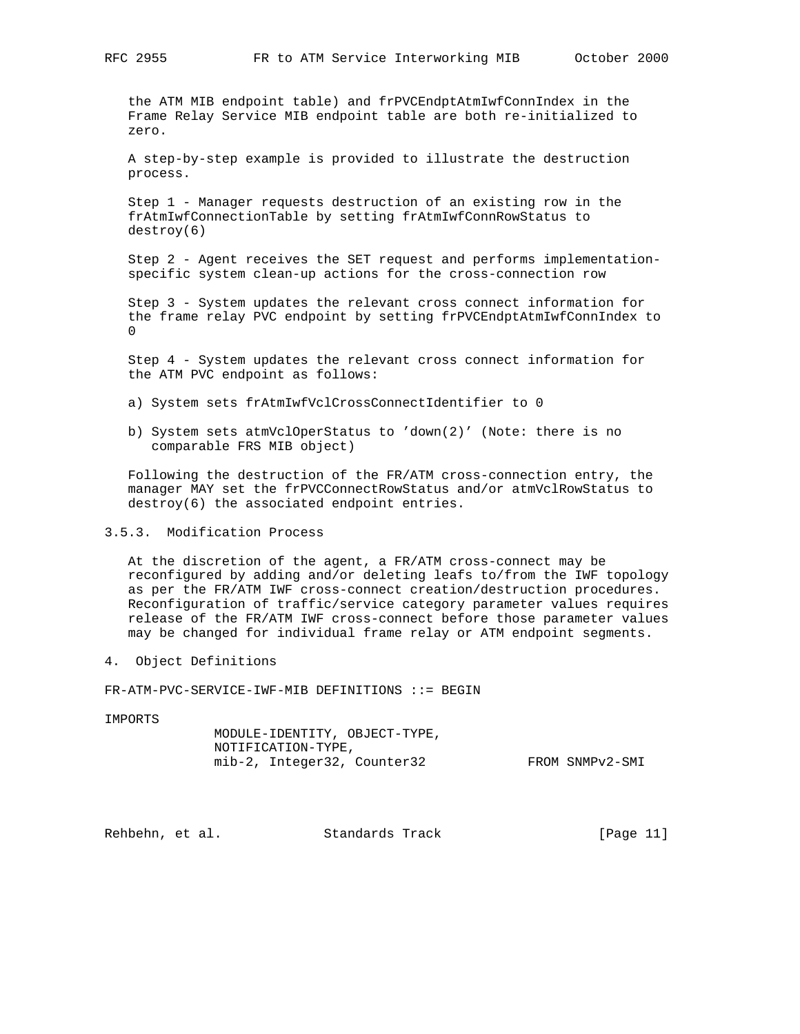the ATM MIB endpoint table) and frPVCEndptAtmIwfConnIndex in the Frame Relay Service MIB endpoint table are both re-initialized to zero.

 A step-by-step example is provided to illustrate the destruction process.

 Step 1 - Manager requests destruction of an existing row in the frAtmIwfConnectionTable by setting frAtmIwfConnRowStatus to destroy(6)

 Step 2 - Agent receives the SET request and performs implementation specific system clean-up actions for the cross-connection row

 Step 3 - System updates the relevant cross connect information for the frame relay PVC endpoint by setting frPVCEndptAtmIwfConnIndex to  $\Omega$ 

 Step 4 - System updates the relevant cross connect information for the ATM PVC endpoint as follows:

- a) System sets frAtmIwfVclCrossConnectIdentifier to 0
- b) System sets atmVclOperStatus to 'down(2)' (Note: there is no comparable FRS MIB object)

 Following the destruction of the FR/ATM cross-connection entry, the manager MAY set the frPVCConnectRowStatus and/or atmVclRowStatus to destroy(6) the associated endpoint entries.

3.5.3. Modification Process

 At the discretion of the agent, a FR/ATM cross-connect may be reconfigured by adding and/or deleting leafs to/from the IWF topology as per the FR/ATM IWF cross-connect creation/destruction procedures. Reconfiguration of traffic/service category parameter values requires release of the FR/ATM IWF cross-connect before those parameter values may be changed for individual frame relay or ATM endpoint segments.

4. Object Definitions

FR-ATM-PVC-SERVICE-IWF-MIB DEFINITIONS ::= BEGIN

IMPORTS

 MODULE-IDENTITY, OBJECT-TYPE, NOTIFICATION-TYPE, mib-2, Integer32, Counter32 FROM SNMPv2-SMI

Rehbehn, et al. Standards Track [Page 11]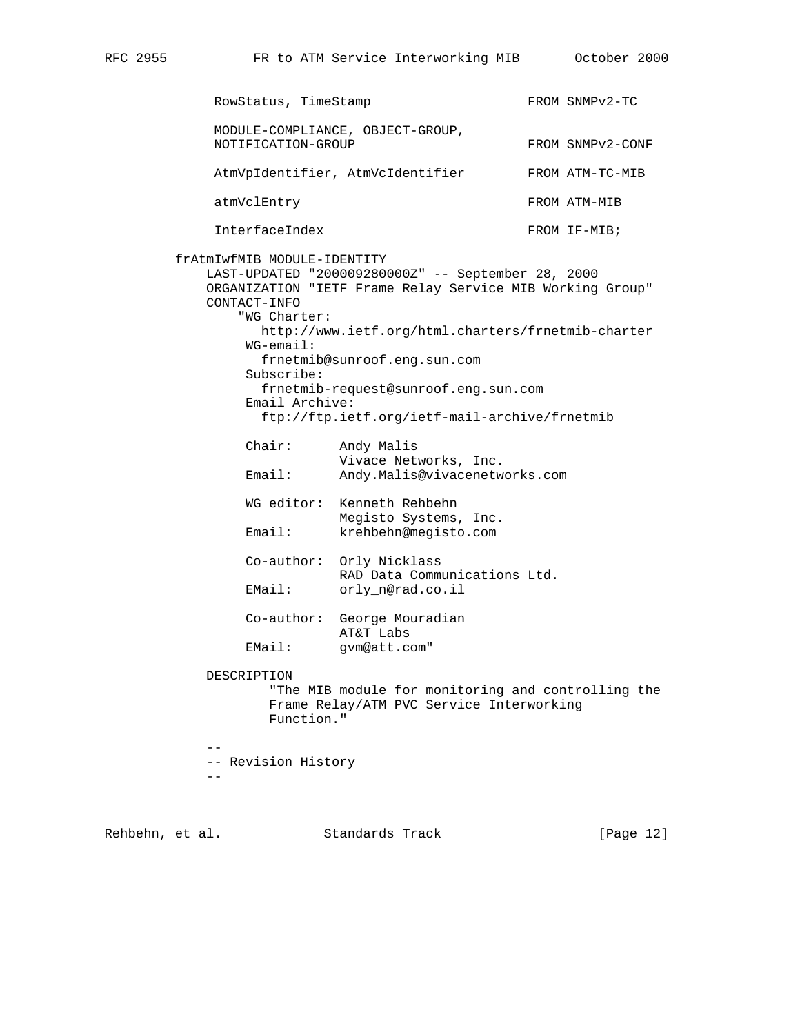RowStatus, TimeStamp FROM SNMPv2-TC MODULE-COMPLIANCE, OBJECT-GROUP, NOTIFICATION-GROUP FROM SNMPv2-CONF AtmVpIdentifier, AtmVcIdentifier FROM ATM-TC-MIB atmVclEntry FROM ATM-MIB InterfaceIndex FROM IF-MIB; frAtmIwfMIB MODULE-IDENTITY LAST-UPDATED "200009280000Z" -- September 28, 2000 ORGANIZATION "IETF Frame Relay Service MIB Working Group" CONTACT-INFO "WG Charter: http://www.ietf.org/html.charters/frnetmib-charter WG-email: frnetmib@sunroof.eng.sun.com Subscribe: frnetmib-request@sunroof.eng.sun.com Email Archive: ftp://ftp.ietf.org/ietf-mail-archive/frnetmib Chair: Andy Malis Vivace Networks, Inc. Email: Andy.Malis@vivacenetworks.com WG editor: Kenneth Rehbehn Megisto Systems, Inc. Email: krehbehn@megisto.com Co-author: Orly Nicklass RAD Data Communications Ltd. EMail: orly\_n@rad.co.il Co-author: George Mouradian AT&T Labs EMail: gvm@att.com" DESCRIPTION "The MIB module for monitoring and controlling the Frame Relay/ATM PVC Service Interworking Function." -- -- Revision History --

Rehbehn, et al. Standards Track [Page 12]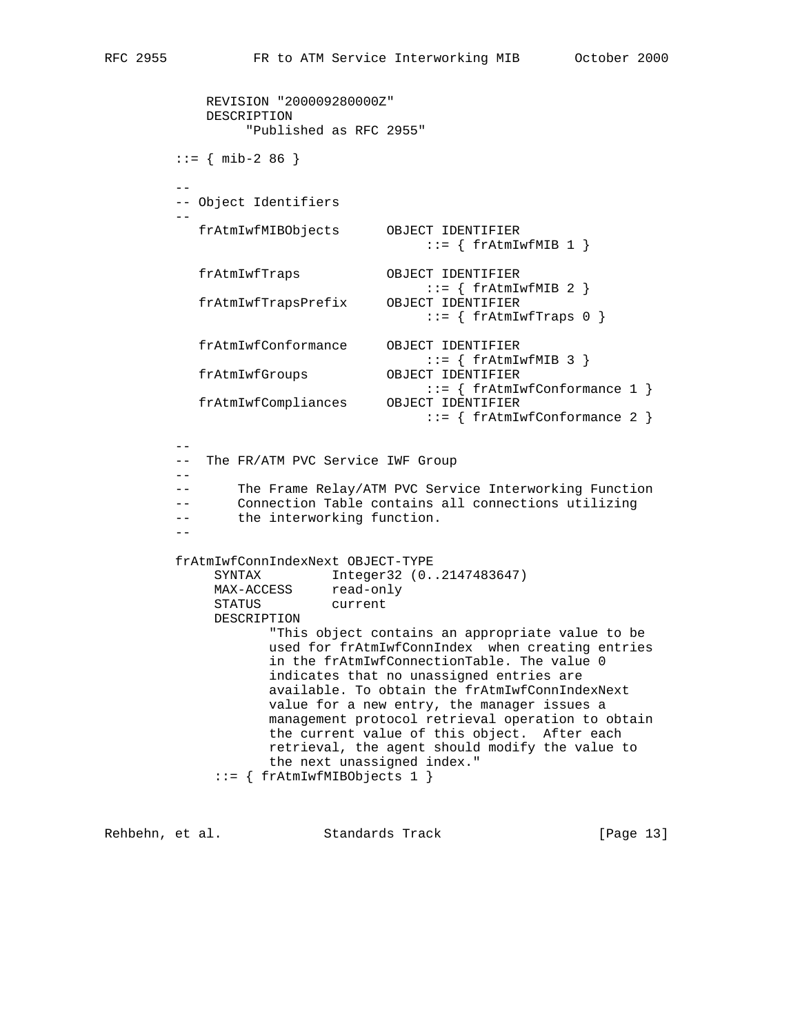```
 REVISION "200009280000Z"
             DESCRIPTION
                  "Published as RFC 2955"
        ::= { mib-2 86 }
 --
         -- Object Identifiers
 --
          frAtmIwfMIBObjects OBJECT IDENTIFIER
                                      ::= { frAtmIwfMIB 1 }
            frAtmIwfTraps OBJECT IDENTIFIER
                                     ::= { frAtmIwfMIB 2 }
            frAtmIwfTrapsPrefix OBJECT IDENTIFIER
                                     ::= \{ frAtmIwfTraps 0 \} frAtmIwfConformance OBJECT IDENTIFIER
                                 ::={ \{ \text{ frAtmIwfMIB 3 } \}} <br> OBJECT IDENTIFIER
           frAtmIwfGroups
                                       ::= { frAtmIwfConformance 1 }
            frAtmIwfCompliances OBJECT IDENTIFIER
                                      ::= { frAtmIwfConformance 2 }
 --
         -- The FR/ATM PVC Service IWF Group
         --
         -- The Frame Relay/ATM PVC Service Interworking Function
         -- Connection Table contains all connections utilizing
         -- the interworking function.
 --
         frAtmIwfConnIndexNext OBJECT-TYPE
              SYNTAX Integer32 (0..2147483647)
MAX-ACCESS read-only
STATUS current
              DESCRIPTION
                    "This object contains an appropriate value to be
                    used for frAtmIwfConnIndex when creating entries
                    in the frAtmIwfConnectionTable. The value 0
                    indicates that no unassigned entries are
                    available. To obtain the frAtmIwfConnIndexNext
                    value for a new entry, the manager issues a
                    management protocol retrieval operation to obtain
                    the current value of this object. After each
                    retrieval, the agent should modify the value to
                    the next unassigned index."
              ::= { frAtmIwfMIBObjects 1 }
```
Rehbehn, et al. Standards Track [Page 13]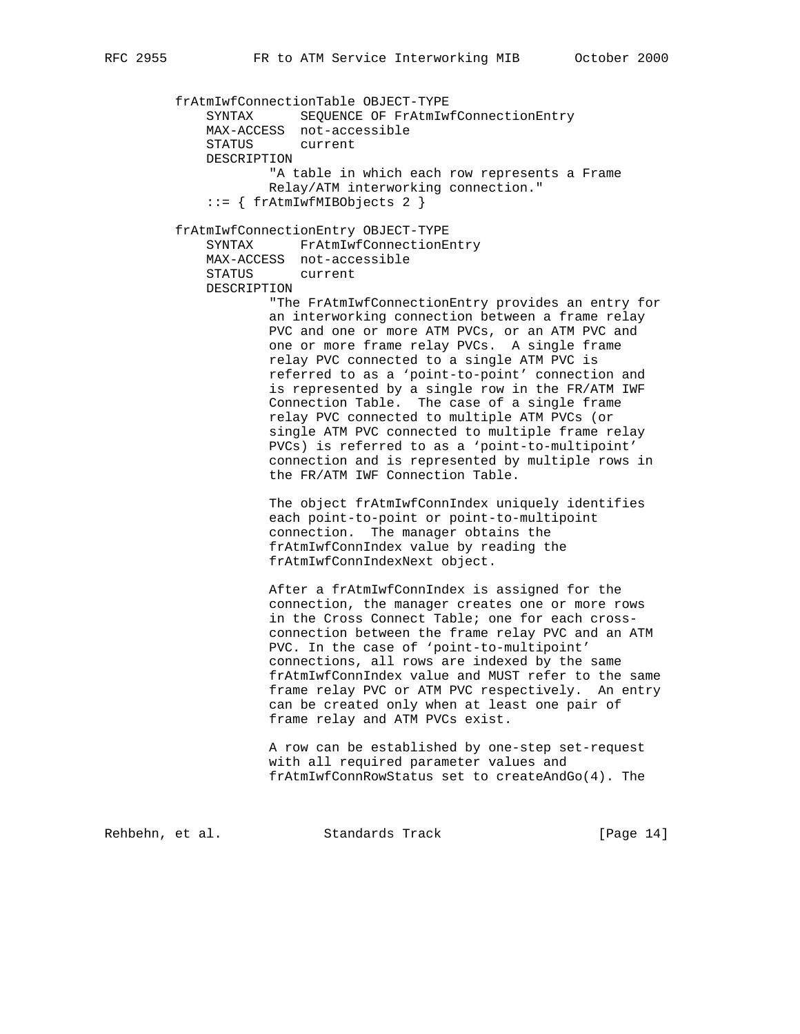frAtmIwfConnectionTable OBJECT-TYPE SYNTAX SEQUENCE OF FrAtmIwfConnectionEntry MAX-ACCESS not-accessible STATUS current DESCRIPTION "A table in which each row represents a Frame Relay/ATM interworking connection." ::= { frAtmIwfMIBObjects 2 } frAtmIwfConnectionEntry OBJECT-TYPE SYNTAX FrAtmIwfConnectionEntry MAX-ACCESS not-accessible STATUS current DESCRIPTION "The FrAtmIwfConnectionEntry provides an entry for an interworking connection between a frame relay PVC and one or more ATM PVCs, or an ATM PVC and one or more frame relay PVCs. A single frame relay PVC connected to a single ATM PVC is referred to as a 'point-to-point' connection and is represented by a single row in the FR/ATM IWF Connection Table. The case of a single frame relay PVC connected to multiple ATM PVCs (or single ATM PVC connected to multiple frame relay PVCs) is referred to as a 'point-to-multipoint' connection and is represented by multiple rows in the FR/ATM IWF Connection Table. The object frAtmIwfConnIndex uniquely identifies each point-to-point or point-to-multipoint connection. The manager obtains the frAtmIwfConnIndex value by reading the frAtmIwfConnIndexNext object. After a frAtmIwfConnIndex is assigned for the connection, the manager creates one or more rows in the Cross Connect Table; one for each cross connection between the frame relay PVC and an ATM PVC. In the case of 'point-to-multipoint' connections, all rows are indexed by the same frAtmIwfConnIndex value and MUST refer to the same frame relay PVC or ATM PVC respectively. An entry can be created only when at least one pair of frame relay and ATM PVCs exist. A row can be established by one-step set-request with all required parameter values and frAtmIwfConnRowStatus set to createAndGo(4). The

Rehbehn, et al. Standards Track [Page 14]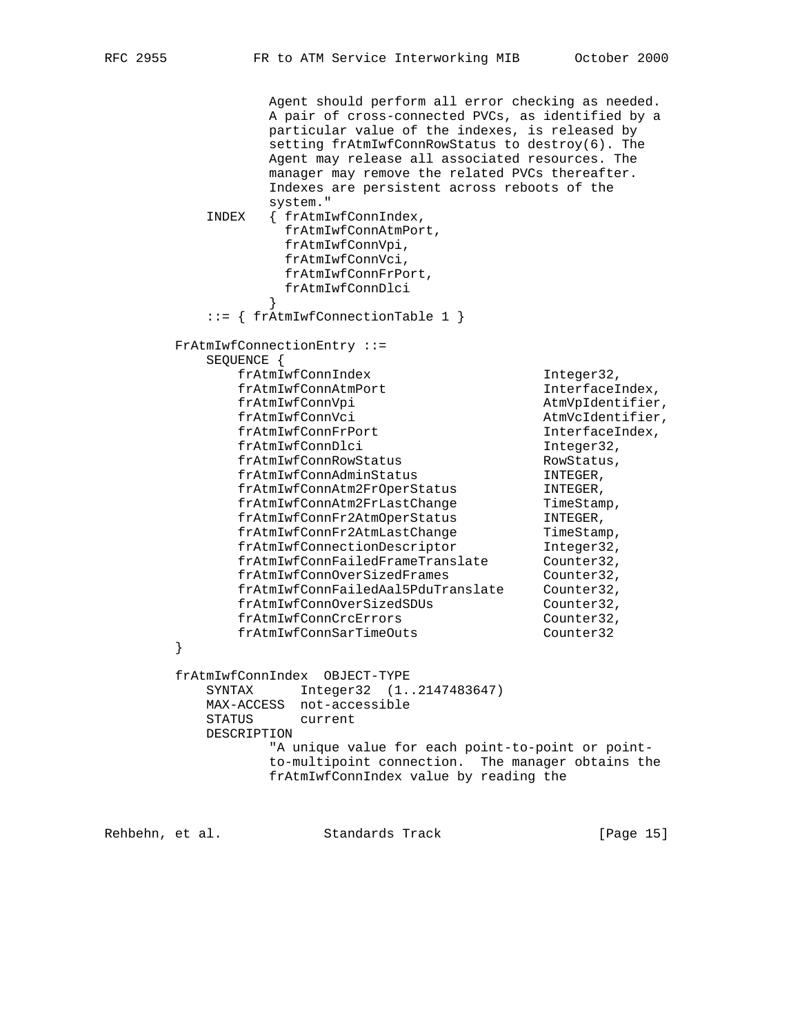Agent should perform all error checking as needed. A pair of cross-connected PVCs, as identified by a particular value of the indexes, is released by setting frAtmIwfConnRowStatus to destroy(6). The Agent may release all associated resources. The manager may remove the related PVCs thereafter. Indexes are persistent across reboots of the system." INDEX { frAtmIwfConnIndex, frAtmIwfConnAtmPort, frAtmIwfConnVpi, frAtmIwfConnVci, frAtmIwfConnFrPort, frAtmIwfConnDlci<br>} } ::= { frAtmIwfConnectionTable 1 } FrAtmIwfConnectionEntry ::= SEQUENCE { frAtmIwfConnIndex Integer32, frAtmIwfConnAtmPort InterfaceIndex, frAtmIwfConnVpi and the atmVpIdentifier, frAtmIwfConnVci AtmVcIdentifier,  ${\tt frAtmIwfConnFrPort} \hspace{2.3cm} {\tt Interfacelndex,} \\ {\tt frAtmIwfConnDlci} \hspace{2.3cm} {\tt Integer32,} \hspace{2.3cm}$  ${\tt frAtmIwfConnDlci} {\tt frAtmIwfConnRowStatus} {\tt Thteger32},$ se commonstatus<br>frAtmIwfConnAdminStatus<br>frAtmIsS frAtmIwfConnAdminStatus INTEGER, frAtmIwfConnAtm2FrOperStatus INTEGER, frAtmIwfConnAtm2FrLastChange TimeStamp, frAtmIwfConnFr2AtmOperStatus INTEGER, frAtmIwfConnFr2AtmLastChange TimeStamp, frAtmIwfConnectionDescriptor Integer32, frAtmIwfConnFailedFrameTranslate Counter32, frAtmIwfConnOverSizedFrames Counter32, frAtmIwfConnFailedAal5PduTranslate Counter32, frAtmIwfConnOverSizedSDUs Counter32, frAtmIwfConnCrcErrors Counter32, frAtmIwfConnSarTimeOuts Counter32 } frAtmIwfConnIndex OBJECT-TYPE SYNTAX Integer32 (1..2147483647) MAX-ACCESS not-accessible STATUS current DESCRIPTION "A unique value for each point-to-point or point to-multipoint connection. The manager obtains the frAtmIwfConnIndex value by reading the

Rehbehn, et al. Standards Track [Page 15]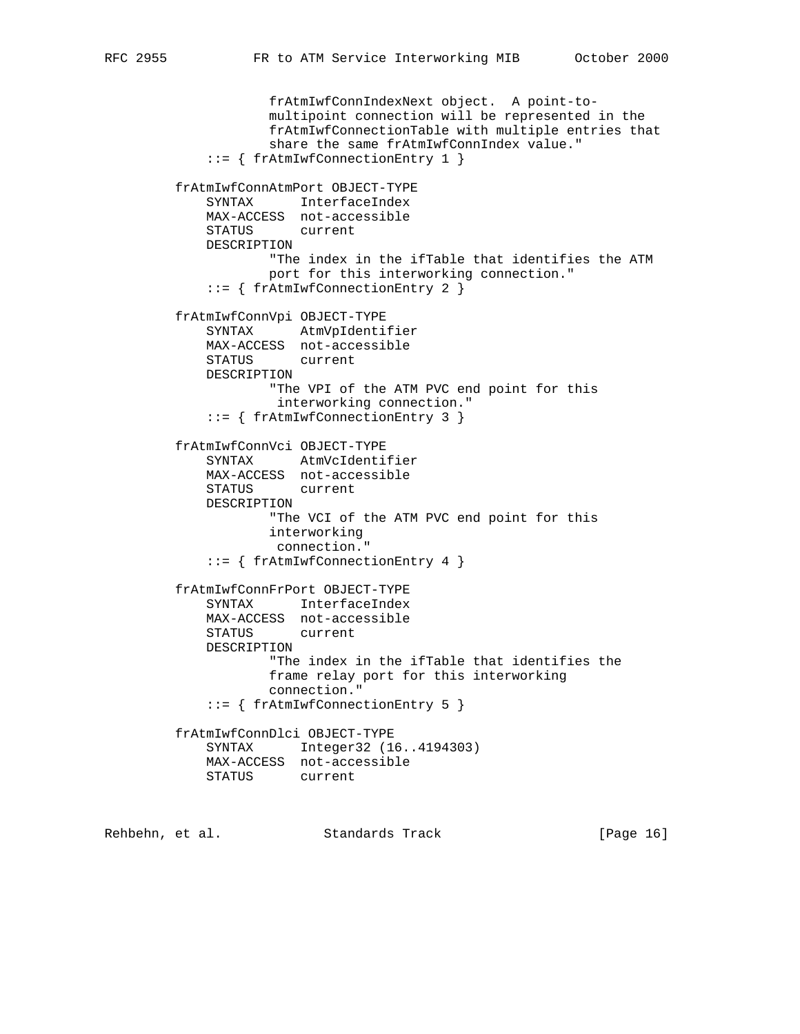```
 frAtmIwfConnIndexNext object. A point-to-
                     multipoint connection will be represented in the
                     frAtmIwfConnectionTable with multiple entries that
                     share the same frAtmIwfConnIndex value."
             ::= { frAtmIwfConnectionEntry 1 }
         frAtmIwfConnAtmPort OBJECT-TYPE
             SYNTAX InterfaceIndex
             MAX-ACCESS not-accessible
             STATUS current
             DESCRIPTION
                     "The index in the ifTable that identifies the ATM
                     port for this interworking connection."
             ::= { frAtmIwfConnectionEntry 2 }
         frAtmIwfConnVpi OBJECT-TYPE
             SYNTAX AtmVpIdentifier
             MAX-ACCESS not-accessible
             STATUS current
             DESCRIPTION
                     "The VPI of the ATM PVC end point for this
                      interworking connection."
             ::= { frAtmIwfConnectionEntry 3 }
         frAtmIwfConnVci OBJECT-TYPE
 SYNTAX AtmVcIdentifier
 MAX-ACCESS not-accessible
             STATUS current
             DESCRIPTION
                     "The VCI of the ATM PVC end point for this
                     interworking
                     connection."
             ::= { frAtmIwfConnectionEntry 4 }
         frAtmIwfConnFrPort OBJECT-TYPE
             SYNTAX InterfaceIndex
             MAX-ACCESS not-accessible
             STATUS current
             DESCRIPTION
                     "The index in the ifTable that identifies the
                     frame relay port for this interworking
                     connection."
             ::= { frAtmIwfConnectionEntry 5 }
         frAtmIwfConnDlci OBJECT-TYPE
             SYNTAX Integer32 (16..4194303)
             MAX-ACCESS not-accessible
             STATUS current
```
Rehbehn, et al. Standards Track [Page 16]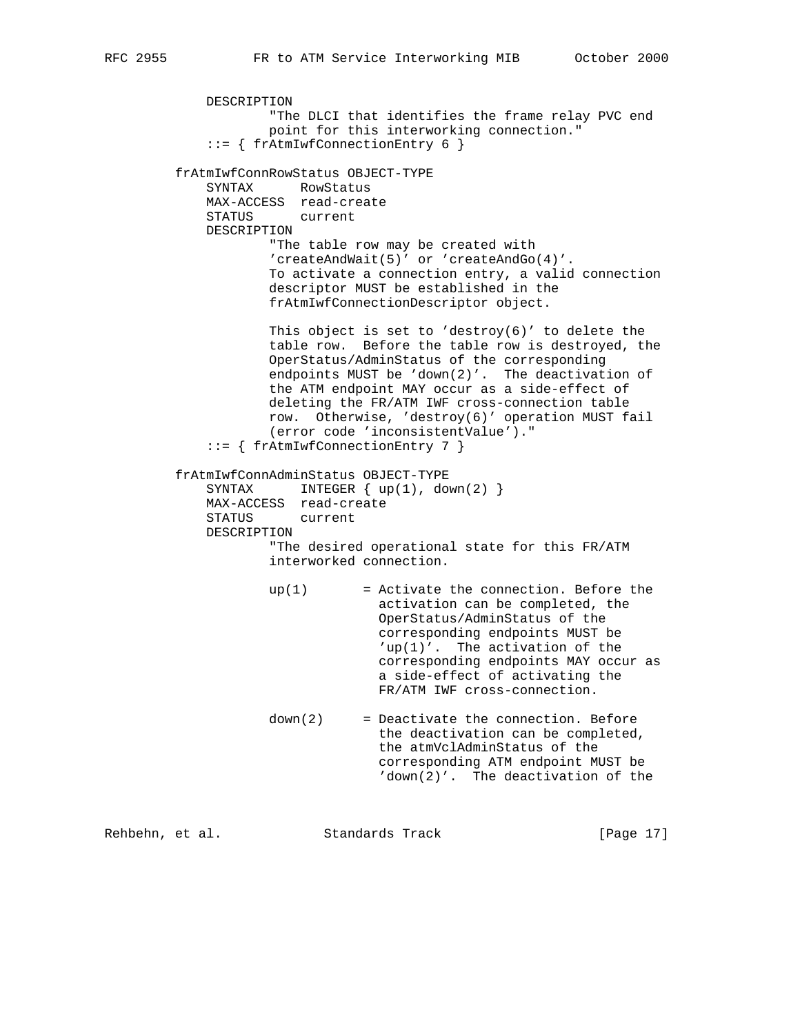```
 DESCRIPTION
             "The DLCI that identifies the frame relay PVC end
            point for this interworking connection."
     ::= { frAtmIwfConnectionEntry 6 }
 frAtmIwfConnRowStatus OBJECT-TYPE
    SYNTAX RowStatus
    MAX-ACCESS read-create
    STATUS current
    DESCRIPTION
            "The table row may be created with
            'createAndWait(5)' or 'createAndGo(4)'.
            To activate a connection entry, a valid connection
            descriptor MUST be established in the
            frAtmIwfConnectionDescriptor object.
           This object is set to 'destroy(6)' to delete the
            table row. Before the table row is destroyed, the
            OperStatus/AdminStatus of the corresponding
            endpoints MUST be 'down(2)'. The deactivation of
            the ATM endpoint MAY occur as a side-effect of
            deleting the FR/ATM IWF cross-connection table
            row. Otherwise, 'destroy(6)' operation MUST fail
             (error code 'inconsistentValue')."
     ::= { frAtmIwfConnectionEntry 7 }
 frAtmIwfConnAdminStatus OBJECT-TYPE
   SYNTAX INTEGER { up(1), down(2) }
    MAX-ACCESS read-create
    STATUS current
    DESCRIPTION
            "The desired operational state for this FR/ATM
             interworked connection.
           up(1) = Activate the connection. Before the
                          activation can be completed, the
                           OperStatus/AdminStatus of the
                           corresponding endpoints MUST be
                           'up(1)'. The activation of the
                           corresponding endpoints MAY occur as
                           a side-effect of activating the
                           FR/ATM IWF cross-connection.
            down(2) = Deactivate the connection. Before
                           the deactivation can be completed,
                           the atmVclAdminStatus of the
                           corresponding ATM endpoint MUST be
                           'down(2)'. The deactivation of the
```
Rehbehn, et al. Standards Track [Page 17]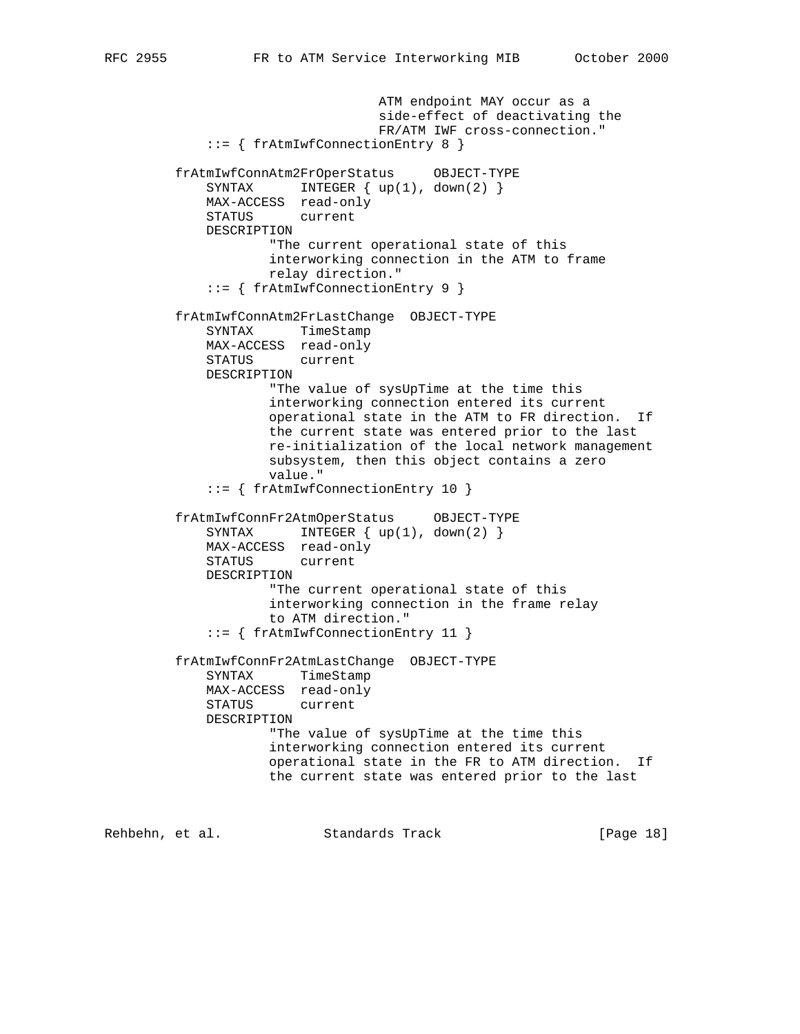```
 ATM endpoint MAY occur as a
                           side-effect of deactivating the
                           FR/ATM IWF cross-connection."
     ::= { frAtmIwfConnectionEntry 8 }
 frAtmIwfConnAtm2FrOperStatus OBJECT-TYPE
   SYNTAX INTEGER { up(1), down(2) }
    MAX-ACCESS read-only
    STATUS current
    DESCRIPTION
             "The current operational state of this
             interworking connection in the ATM to frame
            relay direction."
     ::= { frAtmIwfConnectionEntry 9 }
 frAtmIwfConnAtm2FrLastChange OBJECT-TYPE
    SYNTAX TimeStamp
    MAX-ACCESS read-only
    STATUS current
    DESCRIPTION
             "The value of sysUpTime at the time this
            interworking connection entered its current
            operational state in the ATM to FR direction. If
            the current state was entered prior to the last
            re-initialization of the local network management
            subsystem, then this object contains a zero
            value."
     ::= { frAtmIwfConnectionEntry 10 }
 frAtmIwfConnFr2AtmOperStatus OBJECT-TYPE
   SYNTAX INTEGER { up(1), down(2) }
    MAX-ACCESS read-only
    STATUS current
    DESCRIPTION
            "The current operational state of this
            interworking connection in the frame relay
            to ATM direction."
     ::= { frAtmIwfConnectionEntry 11 }
 frAtmIwfConnFr2AtmLastChange OBJECT-TYPE
    SYNTAX TimeStamp
    MAX-ACCESS read-only
    STATUS current
    DESCRIPTION
             "The value of sysUpTime at the time this
            interworking connection entered its current
            operational state in the FR to ATM direction. If
            the current state was entered prior to the last
```
Rehbehn, et al. Standards Track [Page 18]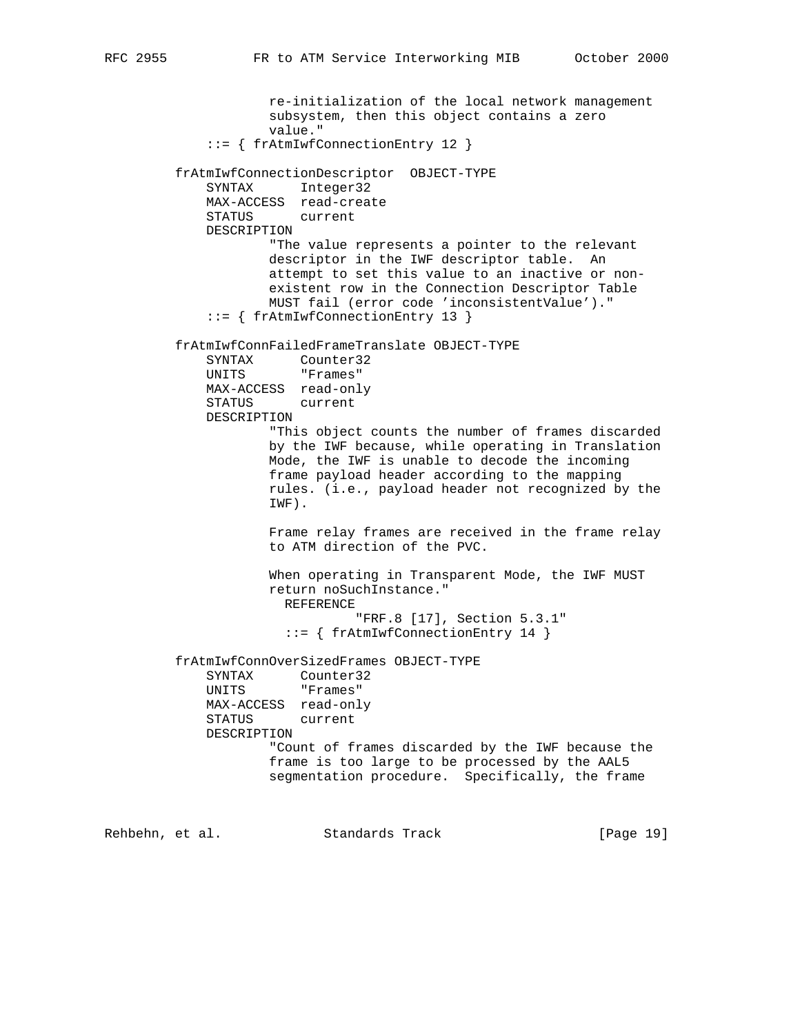re-initialization of the local network management subsystem, then this object contains a zero value." ::= { frAtmIwfConnectionEntry 12 } frAtmIwfConnectionDescriptor OBJECT-TYPE SYNTAX Integer32 MAX-ACCESS read-create STATUS current DESCRIPTION "The value represents a pointer to the relevant descriptor in the IWF descriptor table. An attempt to set this value to an inactive or non existent row in the Connection Descriptor Table MUST fail (error code 'inconsistentValue')." ::= { frAtmIwfConnectionEntry 13 } frAtmIwfConnFailedFrameTranslate OBJECT-TYPE SYNTAX Counter32 UNITS "Frames" MAX-ACCESS read-only STATUS current DESCRIPTION "This object counts the number of frames discarded by the IWF because, while operating in Translation Mode, the IWF is unable to decode the incoming frame payload header according to the mapping rules. (i.e., payload header not recognized by the IWF). Frame relay frames are received in the frame relay to ATM direction of the PVC. When operating in Transparent Mode, the IWF MUST return noSuchInstance." REFERENCE "FRF.8 [17], Section 5.3.1" ::= { frAtmIwfConnectionEntry 14 } frAtmIwfConnOverSizedFrames OBJECT-TYPE SYNTAX Counter32 UNITS "Frames" MAX-ACCESS read-only STATUS current DESCRIPTION "Count of frames discarded by the IWF because the frame is too large to be processed by the AAL5 segmentation procedure. Specifically, the frame

Rehbehn, et al. Standards Track [Page 19]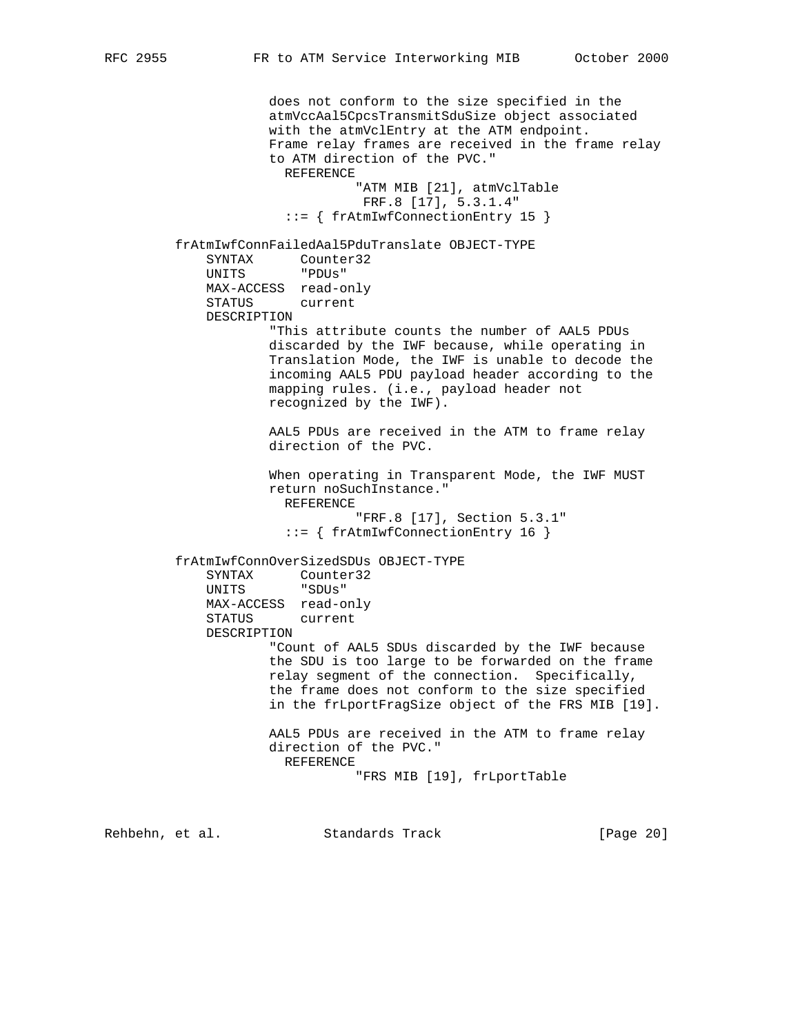does not conform to the size specified in the atmVccAal5CpcsTransmitSduSize object associated with the atmVclEntry at the ATM endpoint. Frame relay frames are received in the frame relay to ATM direction of the PVC." REFERENCE "ATM MIB [21], atmVclTable FRF.8 [17], 5.3.1.4" ::= { frAtmIwfConnectionEntry 15 } frAtmIwfConnFailedAal5PduTranslate OBJECT-TYPE SYNTAX Counter32 UNITS "PDUs" MAX-ACCESS read-only STATUS current DESCRIPTION "This attribute counts the number of AAL5 PDUs discarded by the IWF because, while operating in Translation Mode, the IWF is unable to decode the incoming AAL5 PDU payload header according to the mapping rules. (i.e., payload header not recognized by the IWF). AAL5 PDUs are received in the ATM to frame relay direction of the PVC. When operating in Transparent Mode, the IWF MUST return noSuchInstance." REFERENCE "FRF.8 [17], Section 5.3.1" ::= { frAtmIwfConnectionEntry 16 } frAtmIwfConnOverSizedSDUs OBJECT-TYPE SYNTAX Counter32 UNITS "SDUs" MAX-ACCESS read-only STATUS current DESCRIPTION "Count of AAL5 SDUs discarded by the IWF because the SDU is too large to be forwarded on the frame relay segment of the connection. Specifically, the frame does not conform to the size specified in the frLportFragSize object of the FRS MIB [19]. AAL5 PDUs are received in the ATM to frame relay direction of the PVC." REFERENCE "FRS MIB [19], frLportTable

Rehbehn, et al. Standards Track [Page 20]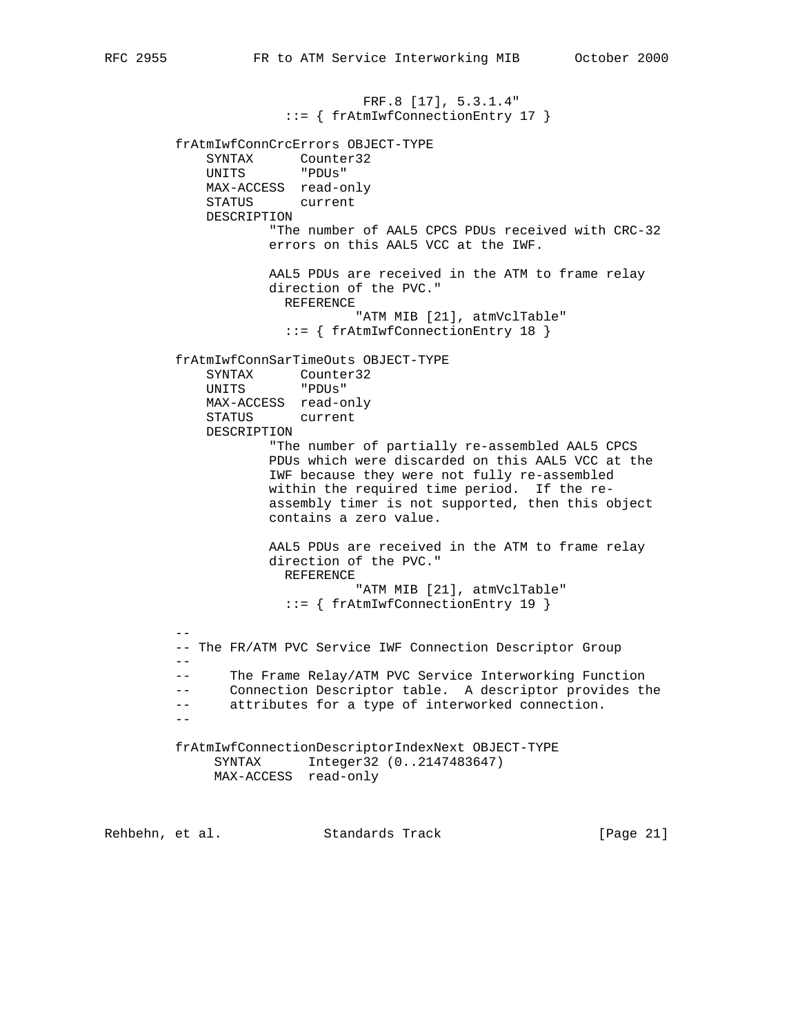FRF.8 [17], 5.3.1.4" ::= { frAtmIwfConnectionEntry 17 } frAtmIwfConnCrcErrors OBJECT-TYPE SYNTAX Counter32 UNITS "PDUs" MAX-ACCESS read-only STATUS current DESCRIPTION "The number of AAL5 CPCS PDUs received with CRC-32 errors on this AAL5 VCC at the IWF. AAL5 PDUs are received in the ATM to frame relay direction of the PVC." REFERENCE "ATM MIB [21], atmVclTable" ::= { frAtmIwfConnectionEntry 18 } frAtmIwfConnSarTimeOuts OBJECT-TYPE SYNTAX Counter32 UNITS "PDUs" MAX-ACCESS read-only STATUS current DESCRIPTION "The number of partially re-assembled AAL5 CPCS PDUs which were discarded on this AAL5 VCC at the IWF because they were not fully re-assembled within the required time period. If the re assembly timer is not supported, then this object contains a zero value. AAL5 PDUs are received in the ATM to frame relay direction of the PVC." REFERENCE "ATM MIB [21], atmVclTable" ::= { frAtmIwfConnectionEntry 19 } -- -- The FR/ATM PVC Service IWF Connection Descriptor Group -- -- The Frame Relay/ATM PVC Service Interworking Function -- Connection Descriptor table. A descriptor provides the -- attributes for a type of interworked connection. - frAtmIwfConnectionDescriptorIndexNext OBJECT-TYPE SYNTAX Integer32 (0..2147483647) MAX-ACCESS read-only

Rehbehn, et al. Standards Track [Page 21]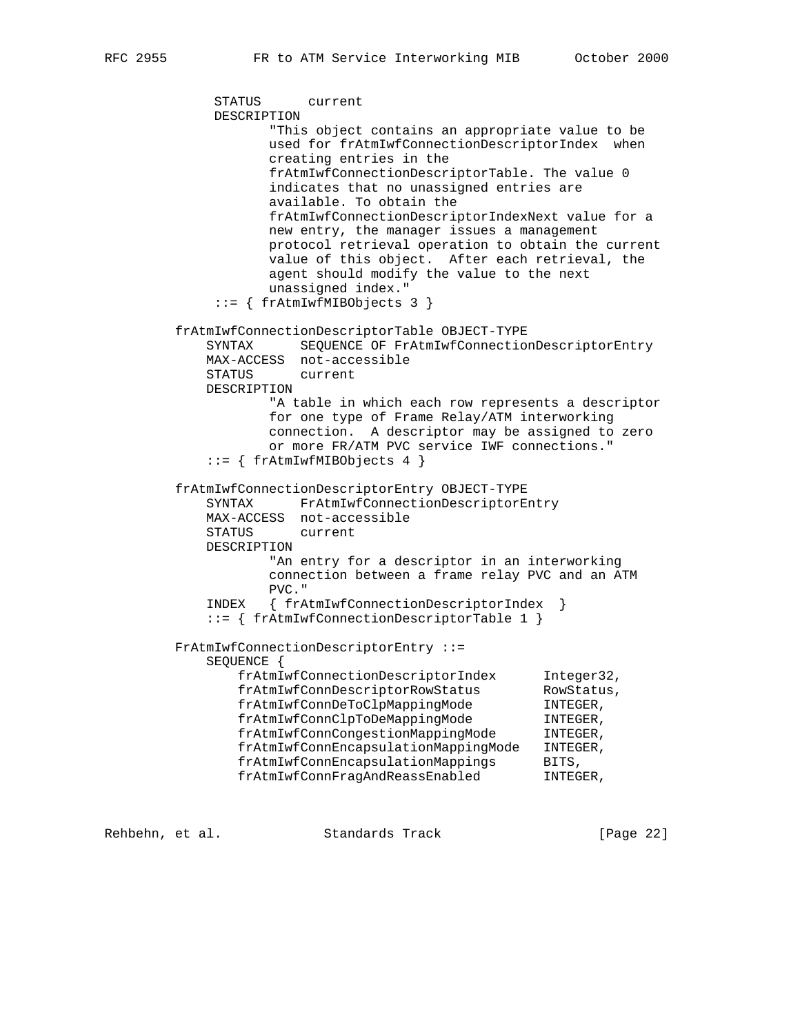STATUS current DESCRIPTION "This object contains an appropriate value to be used for frAtmIwfConnectionDescriptorIndex when creating entries in the frAtmIwfConnectionDescriptorTable. The value 0 indicates that no unassigned entries are available. To obtain the frAtmIwfConnectionDescriptorIndexNext value for a new entry, the manager issues a management protocol retrieval operation to obtain the current value of this object. After each retrieval, the agent should modify the value to the next unassigned index." ::= { frAtmIwfMIBObjects 3 } frAtmIwfConnectionDescriptorTable OBJECT-TYPE SYNTAX SEQUENCE OF FrAtmIwfConnectionDescriptorEntry MAX-ACCESS not-accessible STATUS current DESCRIPTION "A table in which each row represents a descriptor for one type of Frame Relay/ATM interworking connection. A descriptor may be assigned to zero or more FR/ATM PVC service IWF connections." ::= { frAtmIwfMIBObjects 4 } frAtmIwfConnectionDescriptorEntry OBJECT-TYPE SYNTAX FrAtmIwfConnectionDescriptorEntry MAX-ACCESS not-accessible STATUS current DESCRIPTION "An entry for a descriptor in an interworking connection between a frame relay PVC and an ATM PVC." INDEX { frAtmIwfConnectionDescriptorIndex } ::= { frAtmIwfConnectionDescriptorTable 1 } FrAtmIwfConnectionDescriptorEntry ::= SEQUENCE { frAtmIwfConnectionDescriptorIndex Integer32,<br>frAtmIwfConnDescriptorRowStatus RowStatus. frAtmIwfConnDescriptorRowStatus RowStatu<br/>
RowStatu<br/>
frAtmIwfConnDeToClpMappingMode INTEGER, frAtmIwfConnDeToClpMappingMode frAtmIwfConnClpToDeMappingMode INTEGER, frAtmIwfConnCongestionMappingMode INTEGER, frAtmIwfConnEncapsulationMappingMode INTEGER, frAtmIwfConnEncapsulationMappings BITS, frAtmIwfConnFragAndReassEnabled INTEGER,

Rehbehn, et al. Standards Track [Page 22]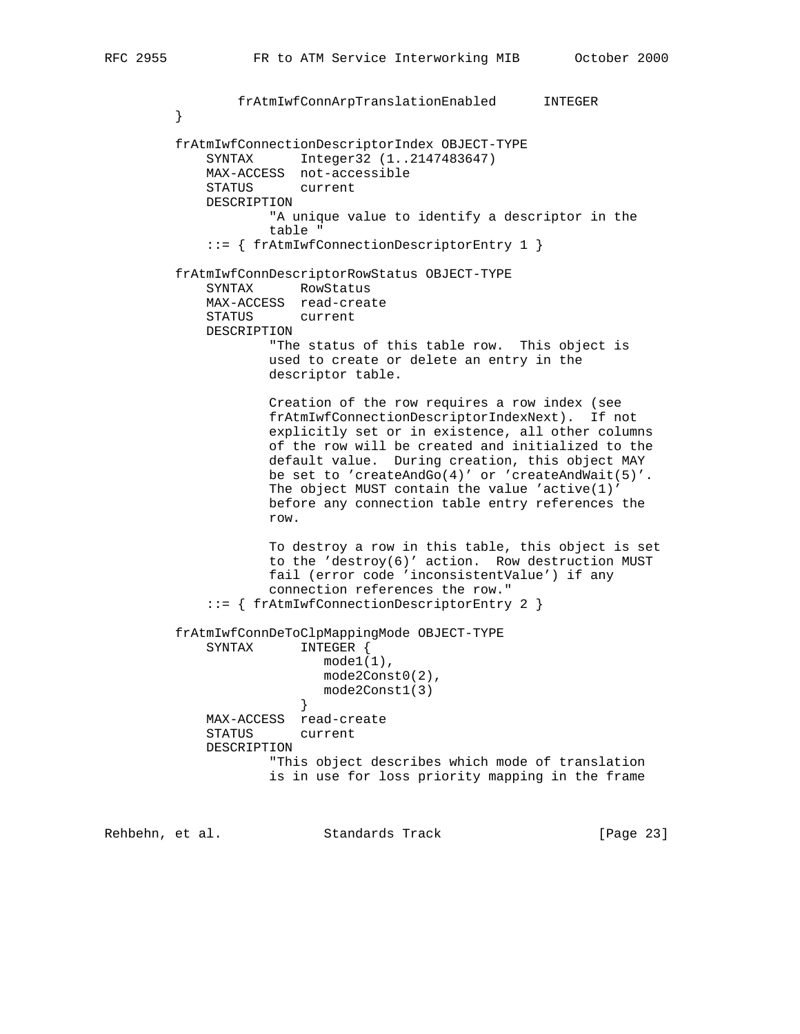```
 frAtmIwfConnArpTranslationEnabled INTEGER
 }
         frAtmIwfConnectionDescriptorIndex OBJECT-TYPE
             SYNTAX Integer32 (1..2147483647)
             MAX-ACCESS not-accessible
             STATUS current
             DESCRIPTION
                     "A unique value to identify a descriptor in the
                     table "
             ::= { frAtmIwfConnectionDescriptorEntry 1 }
         frAtmIwfConnDescriptorRowStatus OBJECT-TYPE
             SYNTAX RowStatus
             MAX-ACCESS read-create
             STATUS current
             DESCRIPTION
                     "The status of this table row. This object is
                     used to create or delete an entry in the
                     descriptor table.
                     Creation of the row requires a row index (see
                     frAtmIwfConnectionDescriptorIndexNext). If not
                     explicitly set or in existence, all other columns
                     of the row will be created and initialized to the
                     default value. During creation, this object MAY
                     be set to 'createAndGo(4)' or 'createAndWait(5)'.
                     The object MUST contain the value 'active(1)'
                     before any connection table entry references the
                     row.
                     To destroy a row in this table, this object is set
                     to the 'destroy(6)' action. Row destruction MUST
                     fail (error code 'inconsistentValue') if any
                     connection references the row."
             ::= { frAtmIwfConnectionDescriptorEntry 2 }
         frAtmIwfConnDeToClpMappingMode OBJECT-TYPE
             SYNTAX INTEGER {
                          model(1),
                           mode2Const0(2),
                        mode2Const1(3)<br>}
 }
             MAX-ACCESS read-create
             STATUS current
             DESCRIPTION
                     "This object describes which mode of translation
                     is in use for loss priority mapping in the frame
```
Rehbehn, et al. Standards Track [Page 23]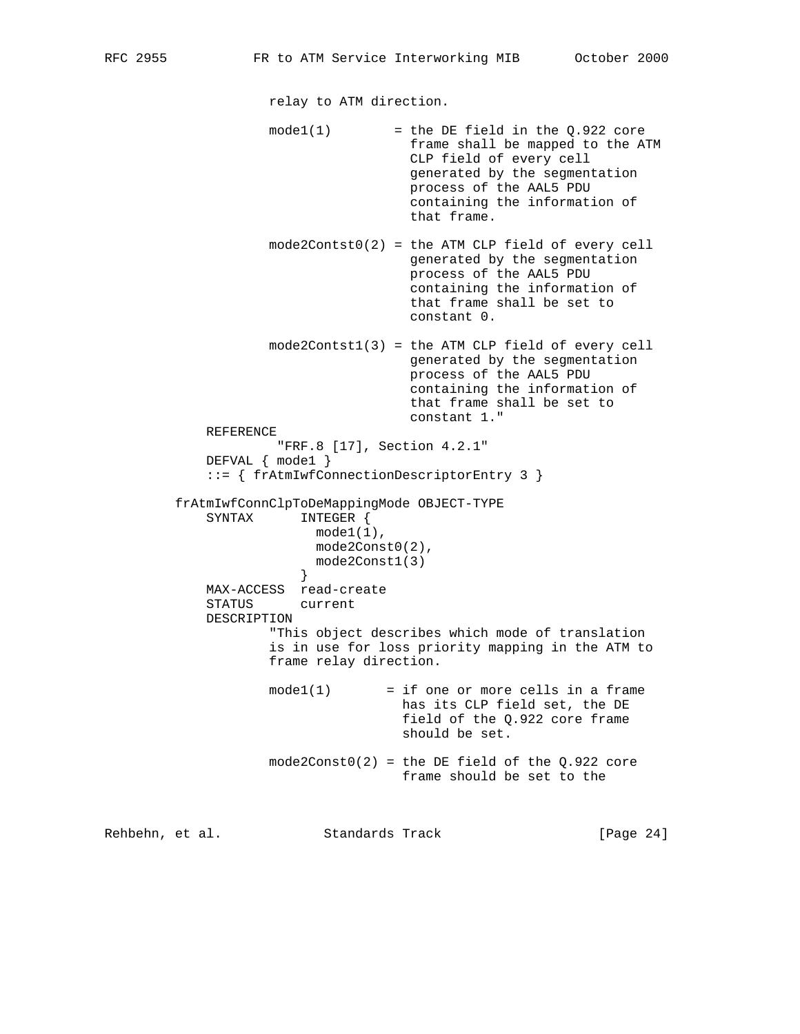relay to ATM direction.

- $model(1)$  = the DE field in the  $Q.922$  core frame shall be mapped to the ATM CLP field of every cell generated by the segmentation process of the AAL5 PDU containing the information of that frame.
- mode2Contst0(2) = the ATM CLP field of every cell generated by the segmentation process of the AAL5 PDU containing the information of that frame shall be set to constant 0.
- mode2Contst1(3) = the ATM CLP field of every cell generated by the segmentation process of the AAL5 PDU containing the information of that frame shall be set to constant 1."

```
 REFERENCE
          "FRF.8 [17], Section 4.2.1"
 DEFVAL { mode1 }
 ::= { frAtmIwfConnectionDescriptorEntry 3 }
```
 frAtmIwfConnClpToDeMappingMode OBJECT-TYPE SYNTAX INTEGER { mode1(1), mode2Const0(2), mode2Const1(3) } MAX-ACCESS read-create STATUS current DESCRIPTION "This object describes which mode of translation is in use for loss priority mapping in the ATM to frame relay direction.

- $model(1)$  = if one or more cells in a frame has its CLP field set, the DE field of the Q.922 core frame should be set.
- $mode2Const0(2)$  = the DE field of the Q.922 core frame should be set to the

Rehbehn, et al. Standards Track [Page 24]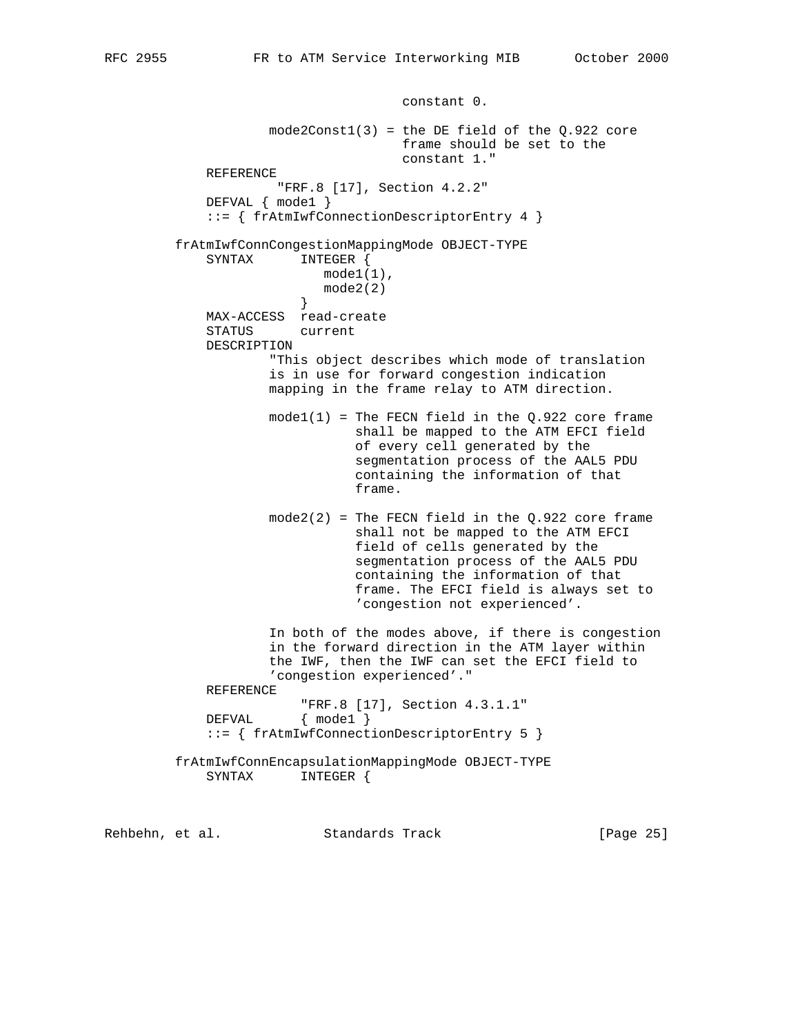constant 0.  $mode2Const1(3)$  = the DE field of the  $Q.922$  core frame should be set to the constant 1." REFERENCE "FRF.8 [17], Section 4.2.2" DEFVAL { mode1 } ::= { frAtmIwfConnectionDescriptorEntry 4 } frAtmIwfConnCongestionMappingMode OBJECT-TYPE SYNTAX INTEGER { mode1(1),  $model(2)$  } MAX-ACCESS read-create STATUS current DESCRIPTION "This object describes which mode of translation is in use for forward congestion indication mapping in the frame relay to ATM direction.  $model(1)$  = The FECN field in the Q.922 core frame shall be mapped to the ATM EFCI field of every cell generated by the segmentation process of the AAL5 PDU containing the information of that frame.  $mode2(2)$  = The FECN field in the Q.922 core frame shall not be mapped to the ATM EFCI field of cells generated by the segmentation process of the AAL5 PDU containing the information of that frame. The EFCI field is always set to 'congestion not experienced'. In both of the modes above, if there is congestion in the forward direction in the ATM layer within the IWF, then the IWF can set the EFCI field to 'congestion experienced'." REFERENCE "FRF.8 [17], Section 4.3.1.1" DEFVAL { mode1 } ::= { frAtmIwfConnectionDescriptorEntry 5 } frAtmIwfConnEncapsulationMappingMode OBJECT-TYPE SYNTAX INTEGER {

Rehbehn, et al. Standards Track [Page 25]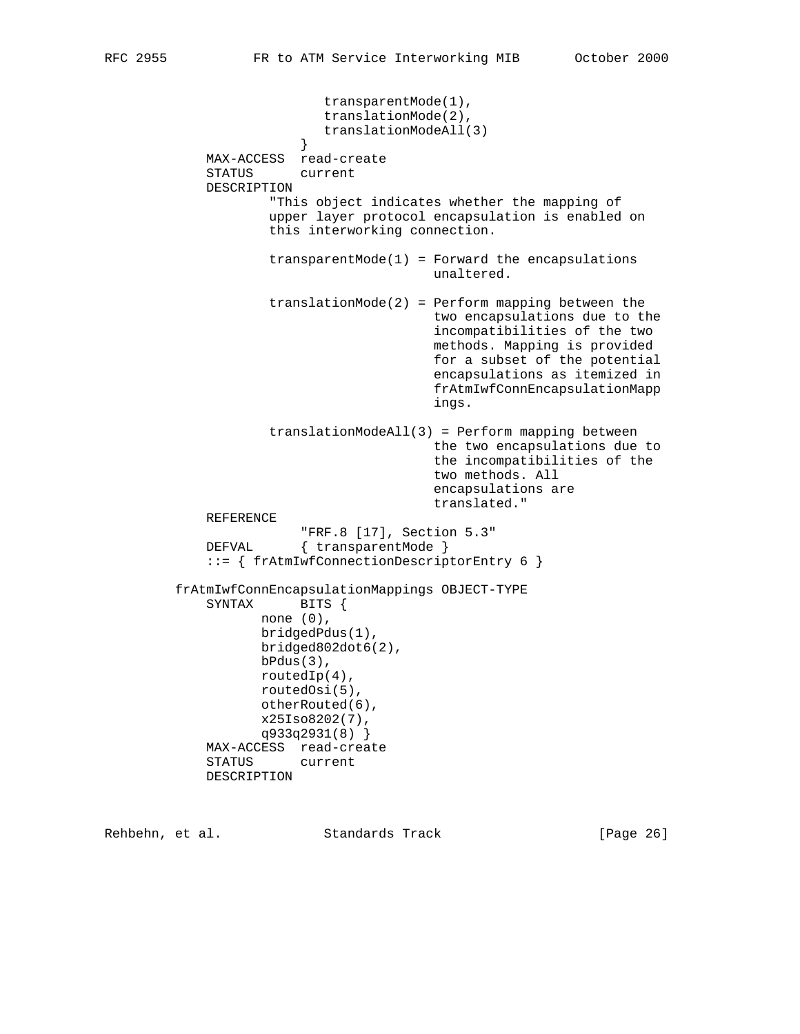```
 transparentMode(1),
                            translationMode(2),
                            translationModeAll(3)
 }
             MAX-ACCESS read-create
             STATUS current
             DESCRIPTION
                     "This object indicates whether the mapping of
                     upper layer protocol encapsulation is enabled on
                     this interworking connection.
                    transparentMode(1) = Forward the encapsulations unaltered.
                     translationMode(2) = Perform mapping between the
                                         two encapsulations due to the
                                         incompatibilities of the two
                                         methods. Mapping is provided
                                         for a subset of the potential
                                         encapsulations as itemized in
                                         frAtmIwfConnEncapsulationMapp
 ings.
                     translationModeAll(3) = Perform mapping between
                                         the two encapsulations due to
                                         the incompatibilities of the
                                         two methods. All
                                         encapsulations are
                                         translated."
             REFERENCE
                         "FRF.8 [17], Section 5.3"
             DEFVAL { transparentMode }
             ::= { frAtmIwfConnectionDescriptorEntry 6 }
         frAtmIwfConnEncapsulationMappings OBJECT-TYPE
             SYNTAX BITS {
                   none (0),
                    bridgedPdus(1),
                    bridged802dot6(2),
                    bPdus(3),
                    routedIp(4),
                    routedOsi(5),
                    otherRouted(6),
                    x25Iso8202(7),
                    q933q2931(8) }
             MAX-ACCESS read-create
             STATUS current
             DESCRIPTION
```
Rehbehn, et al. Standards Track [Page 26]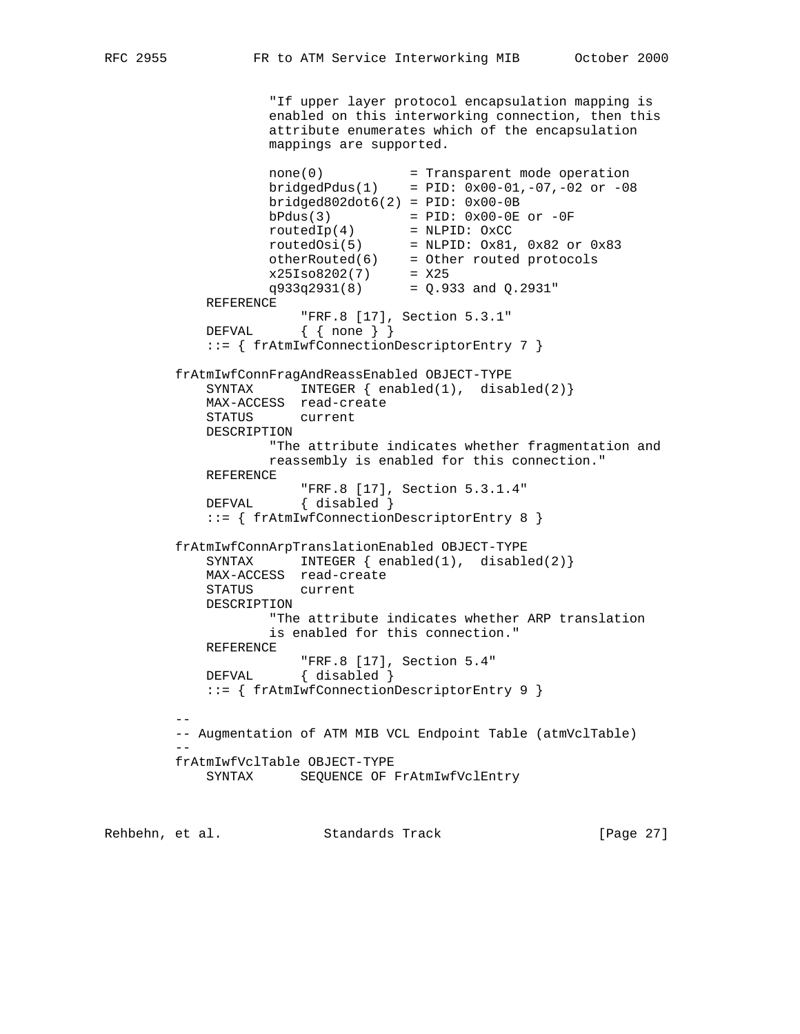"If upper layer protocol encapsulation mapping is enabled on this interworking connection, then this attribute enumerates which of the encapsulation mappings are supported. none(0) = Transparent mode operation  $bridge dPdus(1) = PID: 0x00-01, -07, -02 or -08$  bridged802dot6(2) = PID: 0x00-0B  $bPdus(3)$  = PID:  $0x00-0E$  or  $-0F$  routedIp(4) = NLPID: OxCC  $routedOsi(5)$  = NLPID:  $0x81$ ,  $0x82$  or  $0x83$  otherRouted(6) = Other routed protocols  $x25Iso8202(7) = X25$  $q933q2931(8) = Q.933$  and  $Q.2931"$  REFERENCE "FRF.8 [17], Section 5.3.1" DEFVAL { { none } } ::= { frAtmIwfConnectionDescriptorEntry 7 } frAtmIwfConnFragAndReassEnabled OBJECT-TYPE SYNTAX INTEGER  $\{ \text{enabeled}(1), \text{disabeled}(2) \}$  MAX-ACCESS read-create STATUS current DESCRIPTION "The attribute indicates whether fragmentation and reassembly is enabled for this connection." REFERENCE "FRF.8 [17], Section 5.3.1.4" DEFVAL { disabled } ::= { frAtmIwfConnectionDescriptorEntry 8 } frAtmIwfConnArpTranslationEnabled OBJECT-TYPE SYNTAX INTEGER  $\{ \text{enabeled}(1), \text{disabeled}(2) \}$  MAX-ACCESS read-create STATUS current DESCRIPTION "The attribute indicates whether ARP translation is enabled for this connection." REFERENCE "FRF.8 [17], Section 5.4" DEFVAL { disabled } ::= { frAtmIwfConnectionDescriptorEntry 9 } -- -- Augmentation of ATM MIB VCL Endpoint Table (atmVclTable) - frAtmIwfVclTable OBJECT-TYPE SYNTAX SEQUENCE OF FrAtmIwfVclEntry

Rehbehn, et al. Standards Track [Page 27]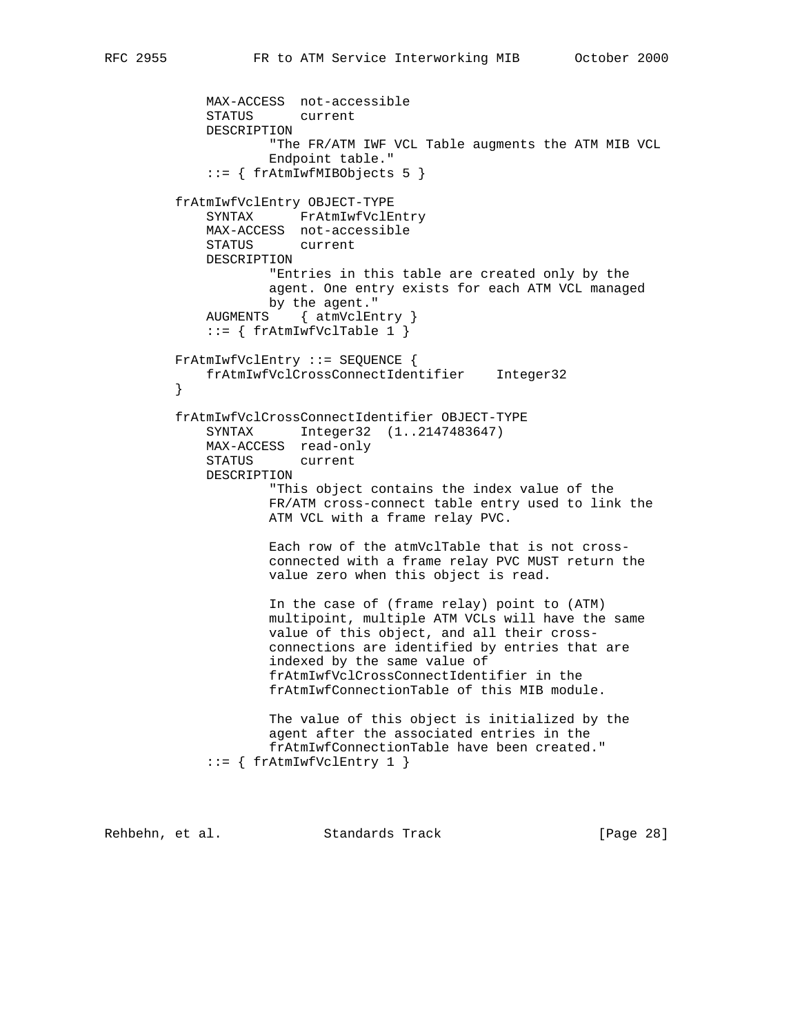```
 MAX-ACCESS not-accessible
     STATUS current
     DESCRIPTION
             "The FR/ATM IWF VCL Table augments the ATM MIB VCL
             Endpoint table."
     ::= { frAtmIwfMIBObjects 5 }
 frAtmIwfVclEntry OBJECT-TYPE
     SYNTAX FrAtmIwfVclEntry
     MAX-ACCESS not-accessible
     STATUS current
    DESCRIPTION
            "Entries in this table are created only by the
             agent. One entry exists for each ATM VCL managed
            by the agent."
     AUGMENTS { atmVclEntry }
    ::= \{ frAtmIwfVcITable 1 \} FrAtmIwfVclEntry ::= SEQUENCE {
    frAtmIwfVclCrossConnectIdentifier Integer32
 }
 frAtmIwfVclCrossConnectIdentifier OBJECT-TYPE
     SYNTAX Integer32 (1..2147483647)
     MAX-ACCESS read-only
     STATUS current
     DESCRIPTION
             "This object contains the index value of the
             FR/ATM cross-connect table entry used to link the
            ATM VCL with a frame relay PVC.
             Each row of the atmVclTable that is not cross-
             connected with a frame relay PVC MUST return the
             value zero when this object is read.
             In the case of (frame relay) point to (ATM)
             multipoint, multiple ATM VCLs will have the same
             value of this object, and all their cross-
             connections are identified by entries that are
             indexed by the same value of
             frAtmIwfVclCrossConnectIdentifier in the
             frAtmIwfConnectionTable of this MIB module.
             The value of this object is initialized by the
             agent after the associated entries in the
             frAtmIwfConnectionTable have been created."
    ::= { frAtmIwfVclEntry 1 }
```
Rehbehn, et al. Standards Track [Page 28]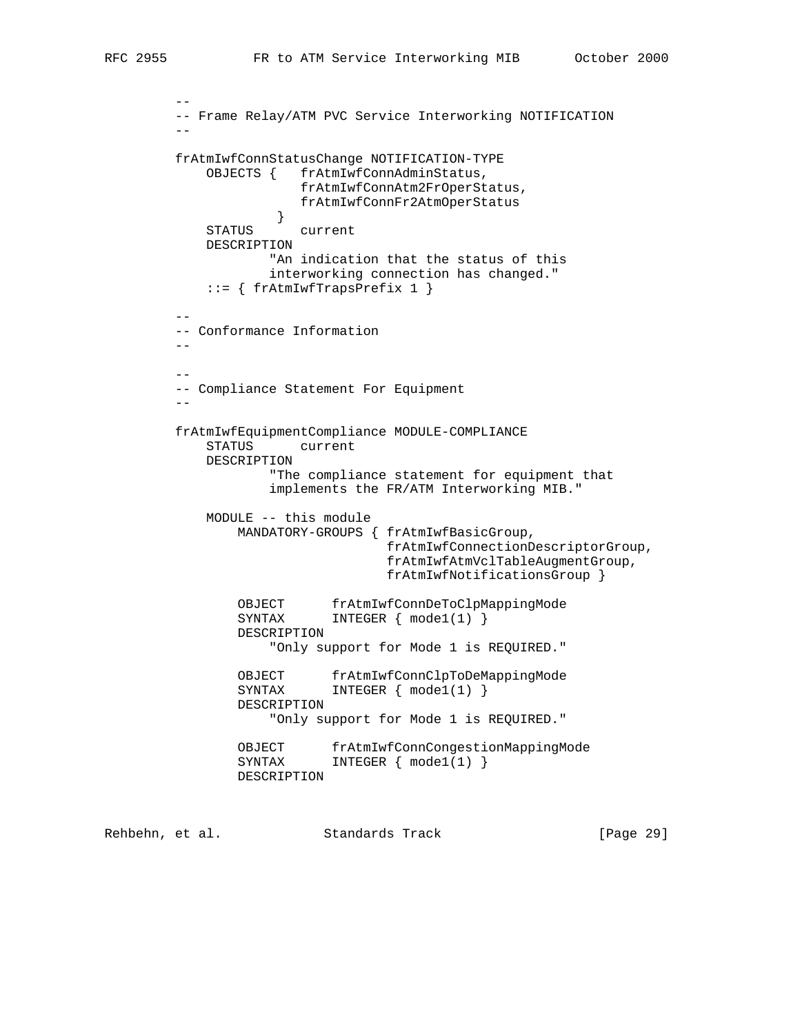```
 --
         -- Frame Relay/ATM PVC Service Interworking NOTIFICATION
 --
         frAtmIwfConnStatusChange NOTIFICATION-TYPE
             OBJECTS { frAtmIwfConnAdminStatus,
                        frAtmIwfConnAtm2FrOperStatus,
                        frAtmIwfConnFr2AtmOperStatus
 }
             STATUS current
             DESCRIPTION
                     "An indication that the status of this
                     interworking connection has changed."
            ::= { frAtmIwfTrapsPrefix 1 }
 --
         -- Conformance Information
 --
 --
         -- Compliance Statement For Equipment
 --
         frAtmIwfEquipmentCompliance MODULE-COMPLIANCE
             STATUS current
             DESCRIPTION
                     "The compliance statement for equipment that
                     implements the FR/ATM Interworking MIB."
             MODULE -- this module
                 MANDATORY-GROUPS { frAtmIwfBasicGroup,
                                   frAtmIwfConnectionDescriptorGroup,
                                   frAtmIwfAtmVclTableAugmentGroup,
                                   frAtmIwfNotificationsGroup }
                OBJECT frAtmIwfConnDeToClpMappingMode<br>SYNTAX INTEGER { mode1(1) }
                          INTEGER { mode1(1) } DESCRIPTION
                     "Only support for Mode 1 is REQUIRED."
                 OBJECT frAtmIwfConnClpToDeMappingMode
                SYNTAX INTEGER { mode1(1) }
                 DESCRIPTION
                     "Only support for Mode 1 is REQUIRED."
                 OBJECT frAtmIwfConnCongestionMappingMode
                SYNTAX INTEGER { mode1(1) }
                 DESCRIPTION
```
Rehbehn, et al. Standards Track [Page 29]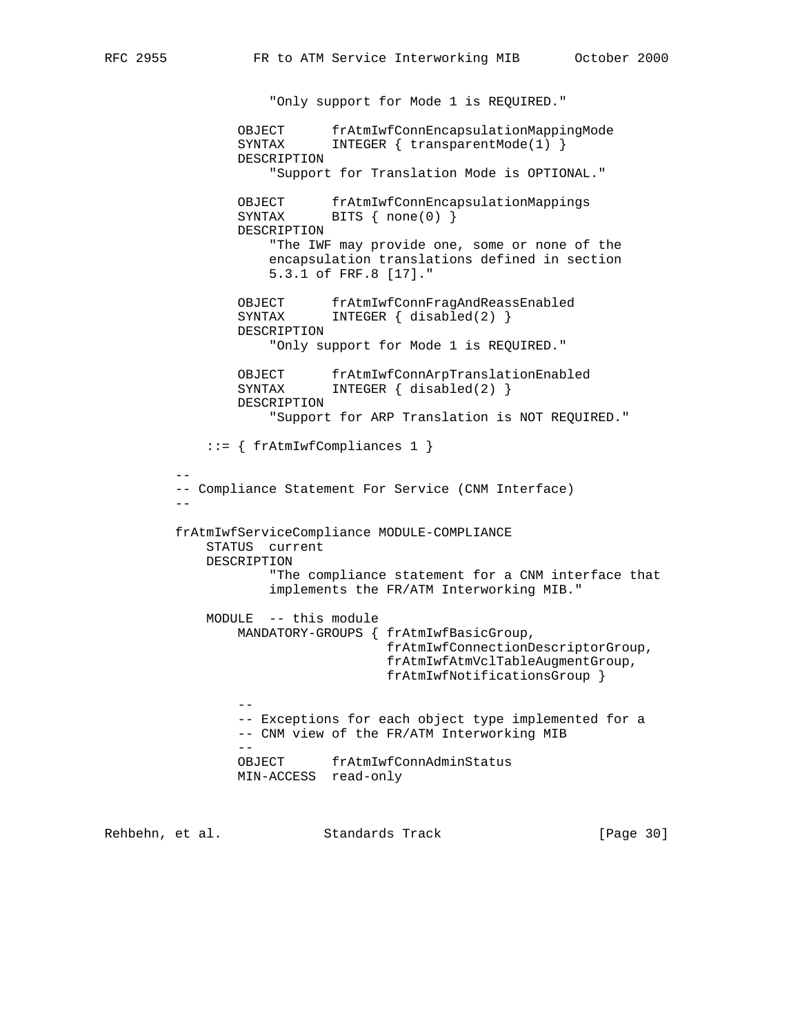"Only support for Mode 1 is REQUIRED." OBJECT frAtmIwfConnEncapsulationMappingMode SYNTAX INTEGER { transparentMode(1) } DESCRIPTION "Support for Translation Mode is OPTIONAL." OBJECT frAtmIwfConnEncapsulationMappings SYNTAX BITS { none(0) } DESCRIPTION "The IWF may provide one, some or none of the encapsulation translations defined in section 5.3.1 of FRF.8 [17]." OBJECT frAtmIwfConnFragAndReassEnabled<br>SYNTAX INTEGER { disabled(2) } INTEGER  $\{$  disabled(2)  $\}$  DESCRIPTION "Only support for Mode 1 is REQUIRED." OBJECT frAtmIwfConnArpTranslationEnabled SYNTAX INTEGER { disabled(2) } DESCRIPTION "Support for ARP Translation is NOT REQUIRED." ::= { frAtmIwfCompliances 1 } -- -- Compliance Statement For Service (CNM Interface) - frAtmIwfServiceCompliance MODULE-COMPLIANCE STATUS current DESCRIPTION "The compliance statement for a CNM interface that implements the FR/ATM Interworking MIB." MODULE -- this module MANDATORY-GROUPS { frAtmIwfBasicGroup, frAtmIwfConnectionDescriptorGroup, frAtmIwfAtmVclTableAugmentGroup, frAtmIwfNotificationsGroup } -- -- Exceptions for each object type implemented for a -- CNM view of the FR/ATM Interworking MIB -- OBJECT frAtmIwfConnAdminStatus MIN-ACCESS read-only

Rehbehn, et al. Standards Track [Page 30]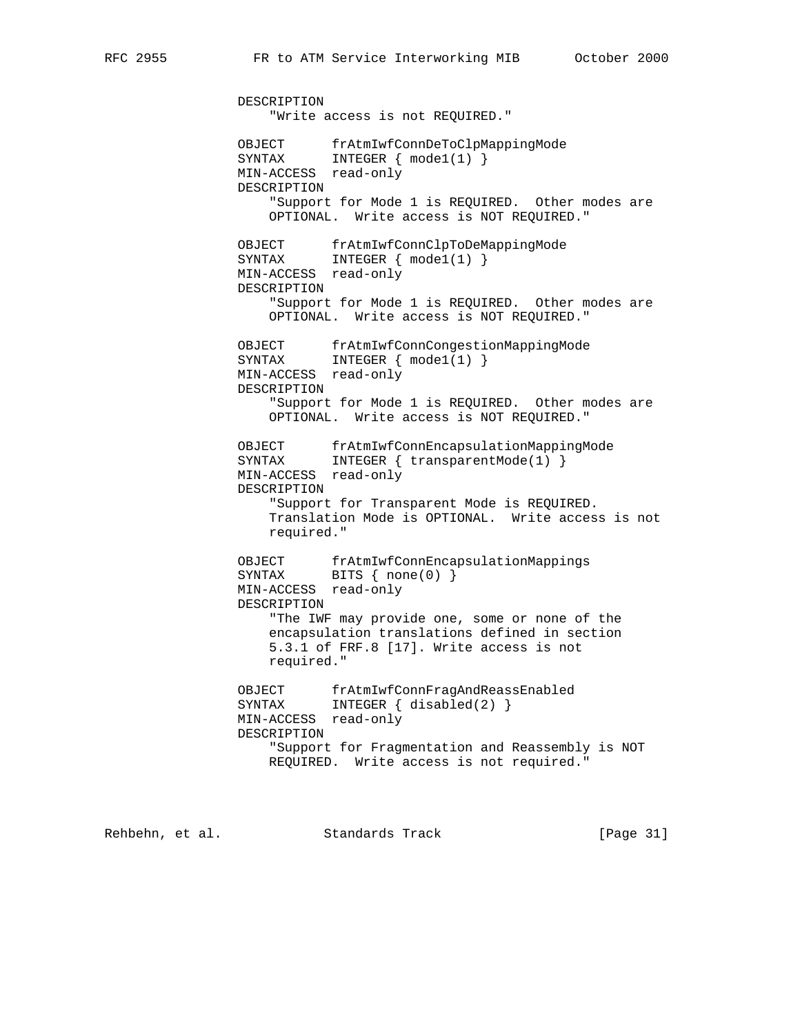DESCRIPTION "Write access is not REQUIRED." OBJECT frAtmIwfConnDeToClpMappingMode<br>SYNTAX INTEGER { mode1(1) } SYNTAX INTEGER { mode1(1) } MIN-ACCESS read-only DESCRIPTION "Support for Mode 1 is REQUIRED. Other modes are OPTIONAL. Write access is NOT REQUIRED." OBJECT frAtmIwfConnClpToDeMappingMode SYNTAX INTEGER { mode1(1) } MIN-ACCESS read-only DESCRIPTION "Support for Mode 1 is REQUIRED. Other modes are OPTIONAL. Write access is NOT REQUIRED." OBJECT frAtmIwfConnCongestionMappingMode SYNTAX INTEGER { mode1(1) } MIN-ACCESS read-only DESCRIPTION "Support for Mode 1 is REQUIRED. Other modes are OPTIONAL. Write access is NOT REQUIRED." OBJECT frAtmIwfConnEncapsulationMappingMode SYNTAX INTEGER { transparentMode(1) } MIN-ACCESS read-only DESCRIPTION "Support for Transparent Mode is REQUIRED. Translation Mode is OPTIONAL. Write access is not required." OBJECT frAtmIwfConnEncapsulationMappings SYNTAX BITS { none(0) } MIN-ACCESS read-only DESCRIPTION "The IWF may provide one, some or none of the encapsulation translations defined in section 5.3.1 of FRF.8 [17]. Write access is not required." OBJECT frAtmIwfConnFragAndReassEnabled SYNTAX INTEGER { disabled(2) } MIN-ACCESS read-only DESCRIPTION "Support for Fragmentation and Reassembly is NOT REQUIRED. Write access is not required."

Rehbehn, et al. Standards Track [Page 31]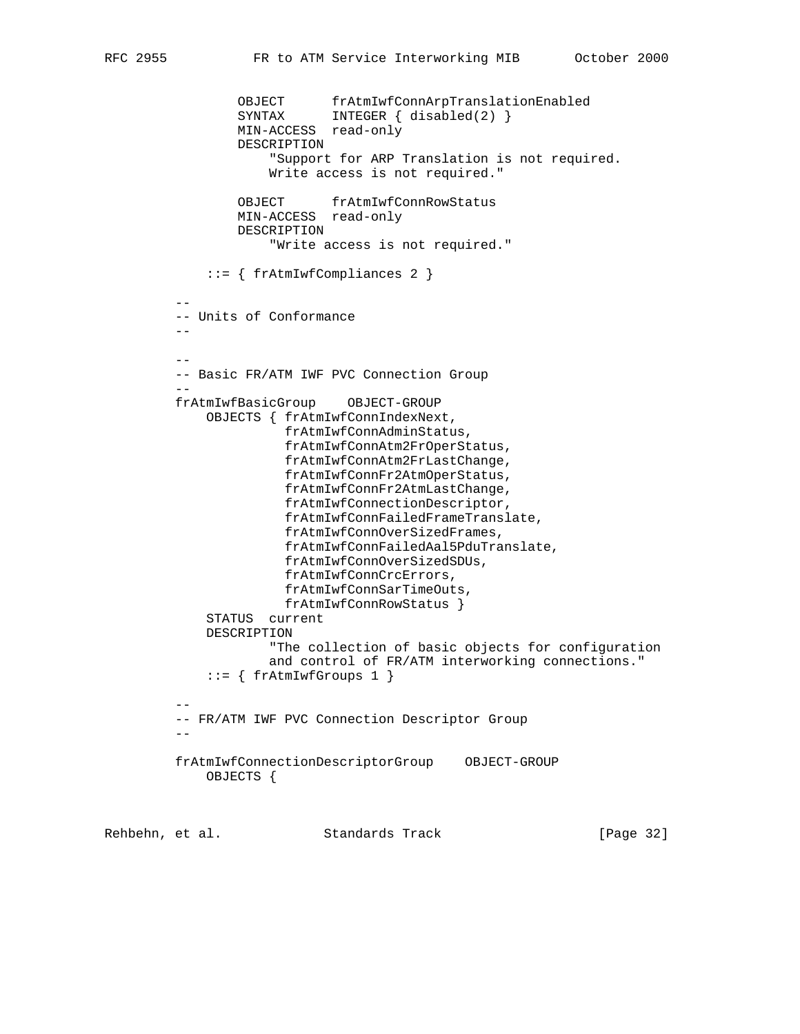```
 OBJECT frAtmIwfConnArpTranslationEnabled
SYNTAX INTEGER { disabled(2) }
 MIN-ACCESS read-only
                DESCRIPTION
                    "Support for ARP Translation is not required.
                    Write access is not required."
                OBJECT frAtmIwfConnRowStatus
                MIN-ACCESS read-only
                DESCRIPTION
                    "Write access is not required."
             ::= { frAtmIwfCompliances 2 }
 --
         -- Units of Conformance
 --
 --
         -- Basic FR/ATM IWF PVC Connection Group
 --
         frAtmIwfBasicGroup OBJECT-GROUP
             OBJECTS { frAtmIwfConnIndexNext,
                      frAtmIwfConnAdminStatus,
                      frAtmIwfConnAtm2FrOperStatus,
                      frAtmIwfConnAtm2FrLastChange,
                      frAtmIwfConnFr2AtmOperStatus,
                      frAtmIwfConnFr2AtmLastChange,
                      frAtmIwfConnectionDescriptor,
                      frAtmIwfConnFailedFrameTranslate,
                      frAtmIwfConnOverSizedFrames,
                      frAtmIwfConnFailedAal5PduTranslate,
                      frAtmIwfConnOverSizedSDUs,
                      frAtmIwfConnCrcErrors,
                      frAtmIwfConnSarTimeOuts,
                      frAtmIwfConnRowStatus }
             STATUS current
             DESCRIPTION
                    "The collection of basic objects for configuration
                    and control of FR/ATM interworking connections."
            ::= \{ frAtmIwfGroups 1 \} --
         -- FR/ATM IWF PVC Connection Descriptor Group
 --
         frAtmIwfConnectionDescriptorGroup OBJECT-GROUP
             OBJECTS {
```
Rehbehn, et al. Standards Track [Page 32]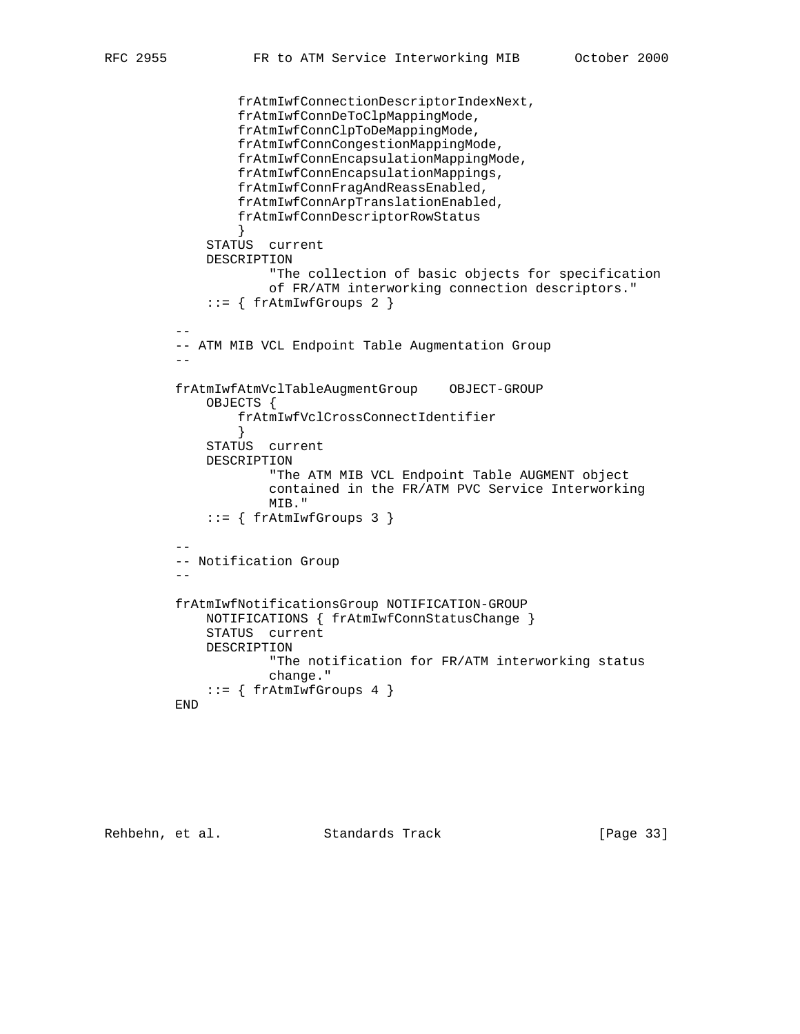```
 frAtmIwfConnectionDescriptorIndexNext,
                 frAtmIwfConnDeToClpMappingMode,
                 frAtmIwfConnClpToDeMappingMode,
                 frAtmIwfConnCongestionMappingMode,
                 frAtmIwfConnEncapsulationMappingMode,
                 frAtmIwfConnEncapsulationMappings,
                 frAtmIwfConnFragAndReassEnabled,
                 frAtmIwfConnArpTranslationEnabled,
                 frAtmIwfConnDescriptorRowStatus
 }
             STATUS current
             DESCRIPTION
                     "The collection of basic objects for specification
                     of FR/ATM interworking connection descriptors."
            ::= { frAtmIwfGroups 2 }
 --
         -- ATM MIB VCL Endpoint Table Augmentation Group
        - frAtmIwfAtmVclTableAugmentGroup OBJECT-GROUP
             OBJECTS {
                 frAtmIwfVclCrossConnectIdentifier
 }
             STATUS current
             DESCRIPTION
                     "The ATM MIB VCL Endpoint Table AUGMENT object
                     contained in the FR/ATM PVC Service Interworking
                     MIB."
            ::= { frAtmIwfGroups 3 }
 --
         -- Notification Group
 --
         frAtmIwfNotificationsGroup NOTIFICATION-GROUP
             NOTIFICATIONS { frAtmIwfConnStatusChange }
             STATUS current
             DESCRIPTION
                     "The notification for FR/ATM interworking status
                     change."
            ::= { frAtmIwfGroups 4 }
         END
```

```
Rehbehn, et al. Standards Track [Page 33]
```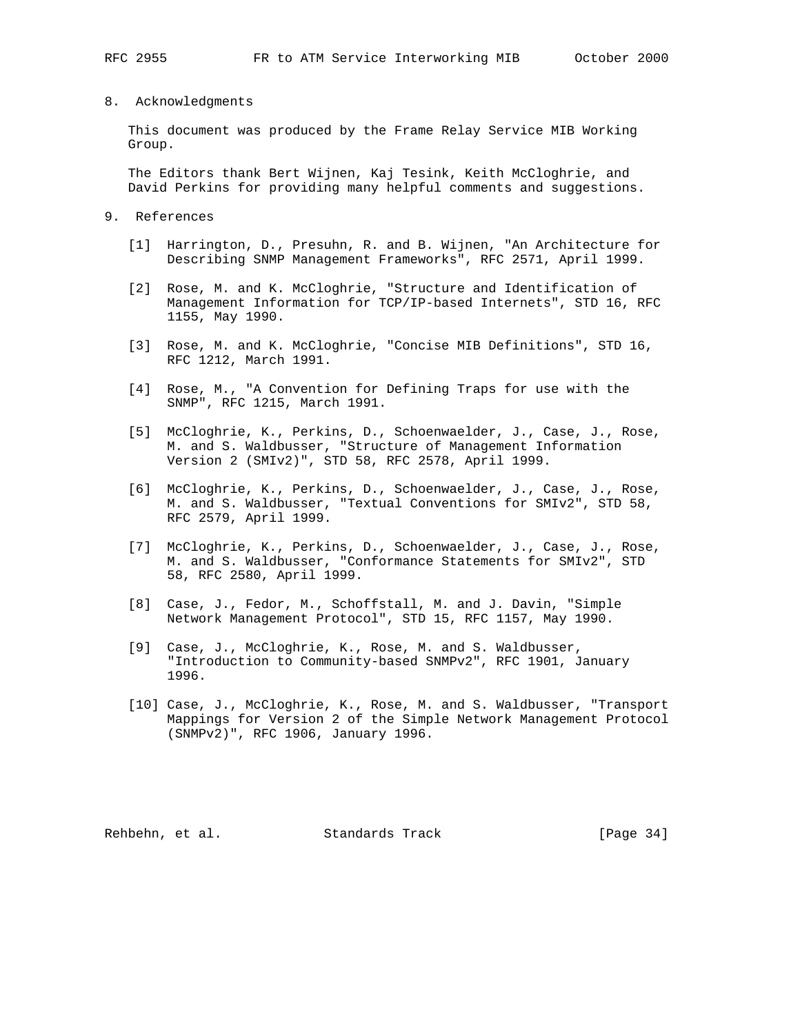### 8. Acknowledgments

 This document was produced by the Frame Relay Service MIB Working Group.

 The Editors thank Bert Wijnen, Kaj Tesink, Keith McCloghrie, and David Perkins for providing many helpful comments and suggestions.

- 9. References
	- [1] Harrington, D., Presuhn, R. and B. Wijnen, "An Architecture for Describing SNMP Management Frameworks", RFC 2571, April 1999.
	- [2] Rose, M. and K. McCloghrie, "Structure and Identification of Management Information for TCP/IP-based Internets", STD 16, RFC 1155, May 1990.
	- [3] Rose, M. and K. McCloghrie, "Concise MIB Definitions", STD 16, RFC 1212, March 1991.
	- [4] Rose, M., "A Convention for Defining Traps for use with the SNMP", RFC 1215, March 1991.
	- [5] McCloghrie, K., Perkins, D., Schoenwaelder, J., Case, J., Rose, M. and S. Waldbusser, "Structure of Management Information Version 2 (SMIv2)", STD 58, RFC 2578, April 1999.
	- [6] McCloghrie, K., Perkins, D., Schoenwaelder, J., Case, J., Rose, M. and S. Waldbusser, "Textual Conventions for SMIv2", STD 58, RFC 2579, April 1999.
	- [7] McCloghrie, K., Perkins, D., Schoenwaelder, J., Case, J., Rose, M. and S. Waldbusser, "Conformance Statements for SMIv2", STD 58, RFC 2580, April 1999.
	- [8] Case, J., Fedor, M., Schoffstall, M. and J. Davin, "Simple Network Management Protocol", STD 15, RFC 1157, May 1990.
	- [9] Case, J., McCloghrie, K., Rose, M. and S. Waldbusser, "Introduction to Community-based SNMPv2", RFC 1901, January 1996.
	- [10] Case, J., McCloghrie, K., Rose, M. and S. Waldbusser, "Transport Mappings for Version 2 of the Simple Network Management Protocol (SNMPv2)", RFC 1906, January 1996.

Rehbehn, et al. Standards Track [Page 34]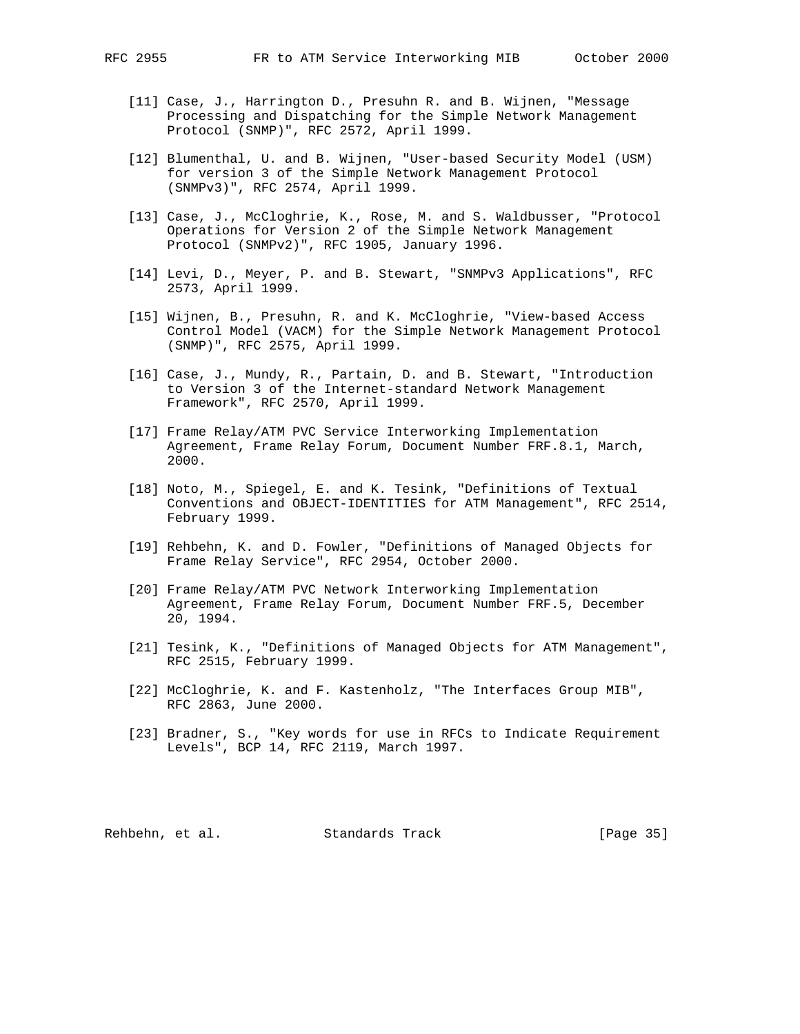- [11] Case, J., Harrington D., Presuhn R. and B. Wijnen, "Message Processing and Dispatching for the Simple Network Management Protocol (SNMP)", RFC 2572, April 1999.
- [12] Blumenthal, U. and B. Wijnen, "User-based Security Model (USM) for version 3 of the Simple Network Management Protocol (SNMPv3)", RFC 2574, April 1999.
- [13] Case, J., McCloghrie, K., Rose, M. and S. Waldbusser, "Protocol Operations for Version 2 of the Simple Network Management Protocol (SNMPv2)", RFC 1905, January 1996.
- [14] Levi, D., Meyer, P. and B. Stewart, "SNMPv3 Applications", RFC 2573, April 1999.
- [15] Wijnen, B., Presuhn, R. and K. McCloghrie, "View-based Access Control Model (VACM) for the Simple Network Management Protocol (SNMP)", RFC 2575, April 1999.
- [16] Case, J., Mundy, R., Partain, D. and B. Stewart, "Introduction to Version 3 of the Internet-standard Network Management Framework", RFC 2570, April 1999.
- [17] Frame Relay/ATM PVC Service Interworking Implementation Agreement, Frame Relay Forum, Document Number FRF.8.1, March, 2000.
- [18] Noto, M., Spiegel, E. and K. Tesink, "Definitions of Textual Conventions and OBJECT-IDENTITIES for ATM Management", RFC 2514, February 1999.
- [19] Rehbehn, K. and D. Fowler, "Definitions of Managed Objects for Frame Relay Service", RFC 2954, October 2000.
- [20] Frame Relay/ATM PVC Network Interworking Implementation Agreement, Frame Relay Forum, Document Number FRF.5, December 20, 1994.
- [21] Tesink, K., "Definitions of Managed Objects for ATM Management", RFC 2515, February 1999.
- [22] McCloghrie, K. and F. Kastenholz, "The Interfaces Group MIB", RFC 2863, June 2000.
- [23] Bradner, S., "Key words for use in RFCs to Indicate Requirement Levels", BCP 14, RFC 2119, March 1997.

Rehbehn, et al. Standards Track [Page 35]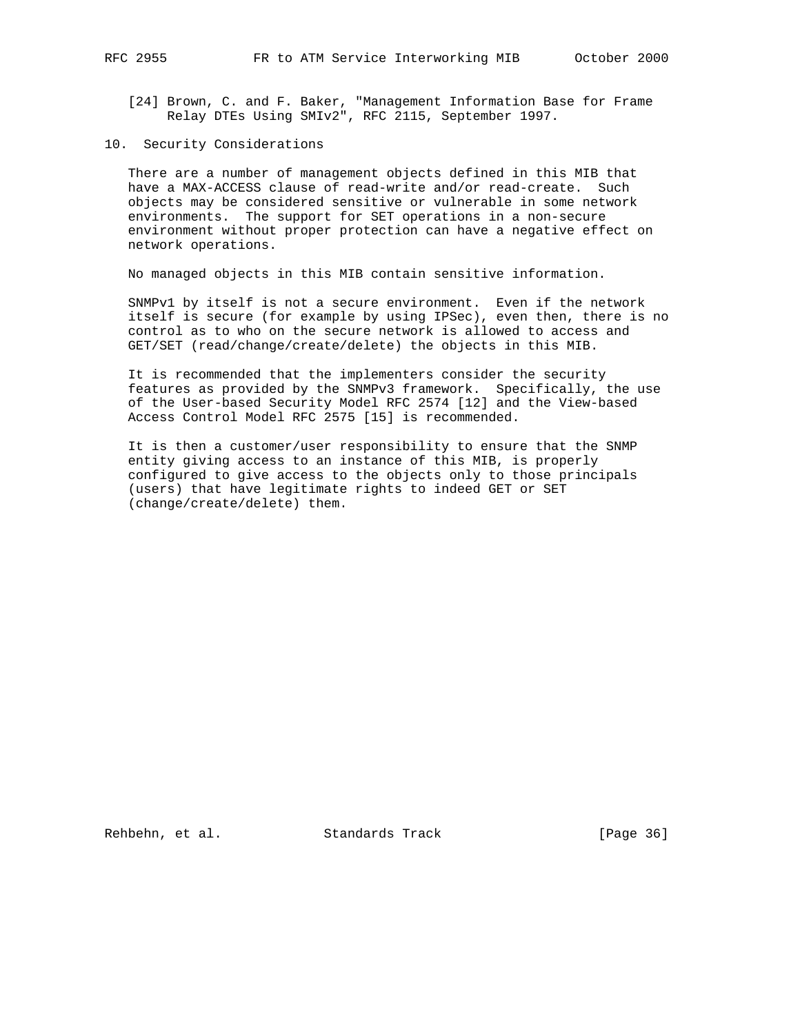- [24] Brown, C. and F. Baker, "Management Information Base for Frame Relay DTEs Using SMIv2", RFC 2115, September 1997.
- 10. Security Considerations

 There are a number of management objects defined in this MIB that have a MAX-ACCESS clause of read-write and/or read-create. Such objects may be considered sensitive or vulnerable in some network environments. The support for SET operations in a non-secure environment without proper protection can have a negative effect on network operations.

No managed objects in this MIB contain sensitive information.

 SNMPv1 by itself is not a secure environment. Even if the network itself is secure (for example by using IPSec), even then, there is no control as to who on the secure network is allowed to access and GET/SET (read/change/create/delete) the objects in this MIB.

 It is recommended that the implementers consider the security features as provided by the SNMPv3 framework. Specifically, the use of the User-based Security Model RFC 2574 [12] and the View-based Access Control Model RFC 2575 [15] is recommended.

 It is then a customer/user responsibility to ensure that the SNMP entity giving access to an instance of this MIB, is properly configured to give access to the objects only to those principals (users) that have legitimate rights to indeed GET or SET (change/create/delete) them.

Rehbehn, et al. Standards Track [Page 36]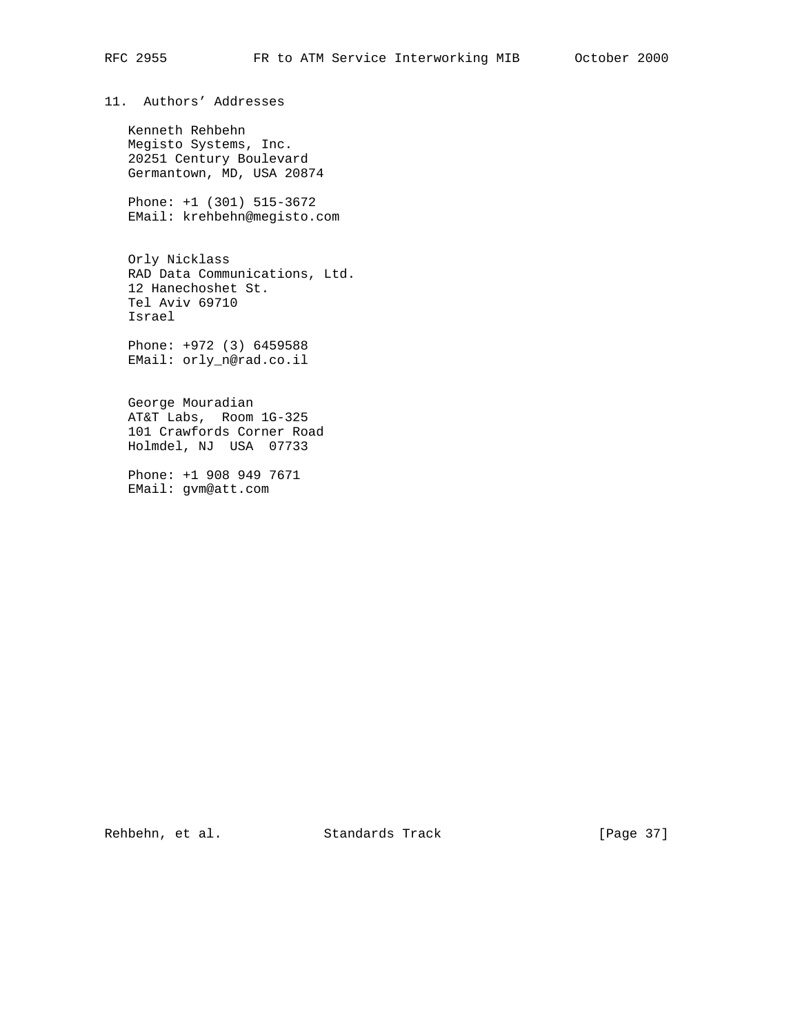# 11. Authors' Addresses

 Kenneth Rehbehn Megisto Systems, Inc. 20251 Century Boulevard Germantown, MD, USA 20874

 Phone: +1 (301) 515-3672 EMail: krehbehn@megisto.com

 Orly Nicklass RAD Data Communications, Ltd. 12 Hanechoshet St. Tel Aviv 69710 Israel

 Phone: +972 (3) 6459588 EMail: orly\_n@rad.co.il

 George Mouradian AT&T Labs, Room 1G-325 101 Crawfords Corner Road Holmdel, NJ USA 07733

 Phone: +1 908 949 7671 EMail: gvm@att.com

Rehbehn, et al. Standards Track [Page 37]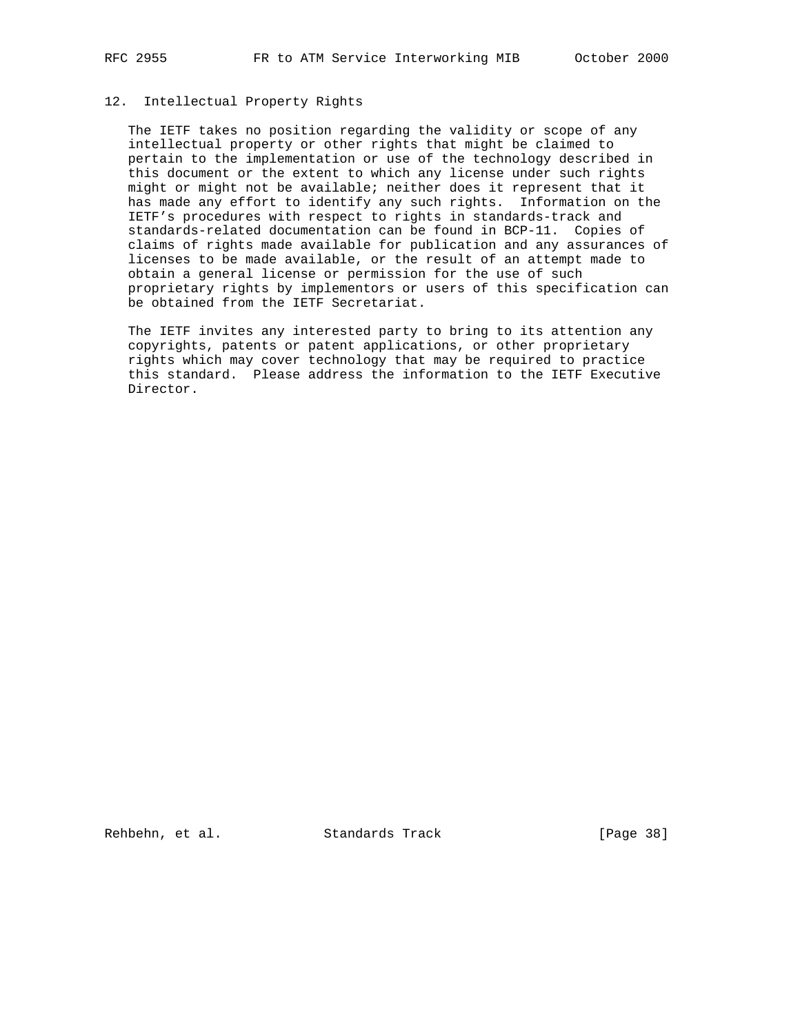# 12. Intellectual Property Rights

 The IETF takes no position regarding the validity or scope of any intellectual property or other rights that might be claimed to pertain to the implementation or use of the technology described in this document or the extent to which any license under such rights might or might not be available; neither does it represent that it has made any effort to identify any such rights. Information on the IETF's procedures with respect to rights in standards-track and standards-related documentation can be found in BCP-11. Copies of claims of rights made available for publication and any assurances of licenses to be made available, or the result of an attempt made to obtain a general license or permission for the use of such proprietary rights by implementors or users of this specification can be obtained from the IETF Secretariat.

 The IETF invites any interested party to bring to its attention any copyrights, patents or patent applications, or other proprietary rights which may cover technology that may be required to practice this standard. Please address the information to the IETF Executive Director.